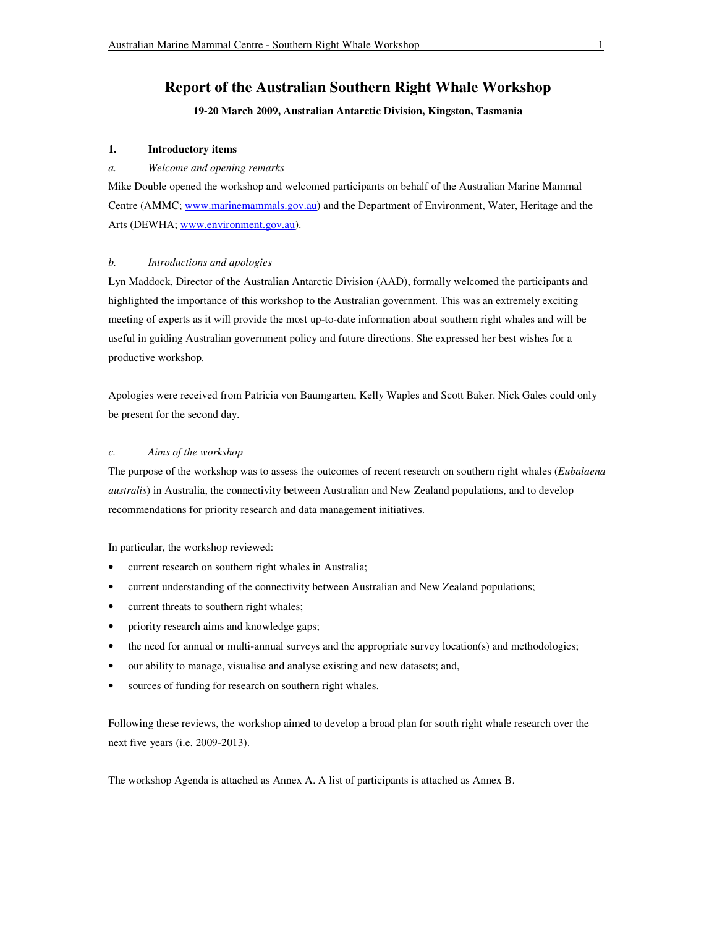# **Report of the Australian Southern Right Whale Workshop**

# **19-20 March 2009, Australian Antarctic Division, Kingston, Tasmania**

# **1. Introductory items**

# *a. Welcome and opening remarks*

Mike Double opened the workshop and welcomed participants on behalf of the Australian Marine Mammal Centre (AMMC; www.marinemammals.gov.au) and the Department of Environment, Water, Heritage and the Arts (DEWHA; www.environment.gov.au).

## *b. Introductions and apologies*

Lyn Maddock, Director of the Australian Antarctic Division (AAD), formally welcomed the participants and highlighted the importance of this workshop to the Australian government. This was an extremely exciting meeting of experts as it will provide the most up-to-date information about southern right whales and will be useful in guiding Australian government policy and future directions. She expressed her best wishes for a productive workshop.

Apologies were received from Patricia von Baumgarten, Kelly Waples and Scott Baker. Nick Gales could only be present for the second day.

## *c. Aims of the workshop*

The purpose of the workshop was to assess the outcomes of recent research on southern right whales (*Eubalaena australis*) in Australia, the connectivity between Australian and New Zealand populations, and to develop recommendations for priority research and data management initiatives.

In particular, the workshop reviewed:

- current research on southern right whales in Australia;
- current understanding of the connectivity between Australian and New Zealand populations;
- current threats to southern right whales;
- priority research aims and knowledge gaps;
- the need for annual or multi-annual surveys and the appropriate survey location(s) and methodologies;
- our ability to manage, visualise and analyse existing and new datasets; and,
- sources of funding for research on southern right whales.

Following these reviews, the workshop aimed to develop a broad plan for south right whale research over the next five years (i.e. 2009-2013).

The workshop Agenda is attached as Annex A. A list of participants is attached as Annex B.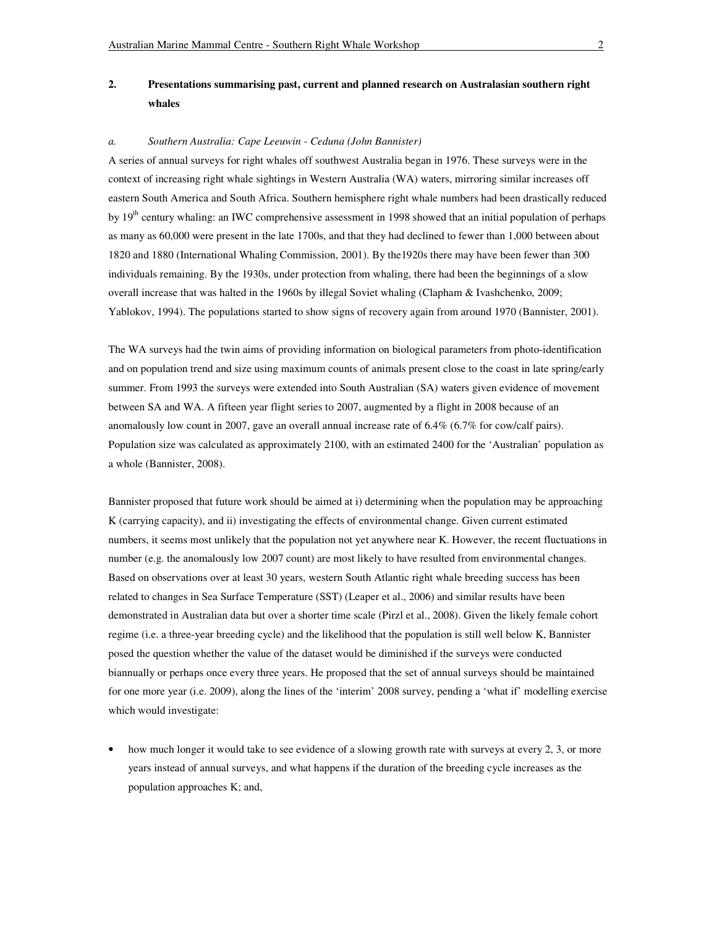# **2. Presentations summarising past, current and planned research on Australasian southern right whales**

#### *a. Southern Australia: Cape Leeuwin - Ceduna (John Bannister)*

A series of annual surveys for right whales off southwest Australia began in 1976. These surveys were in the context of increasing right whale sightings in Western Australia (WA) waters, mirroring similar increases off eastern South America and South Africa. Southern hemisphere right whale numbers had been drastically reduced by 19<sup>th</sup> century whaling: an IWC comprehensive assessment in 1998 showed that an initial population of perhaps as many as 60,000 were present in the late 1700s, and that they had declined to fewer than 1,000 between about 1820 and 1880 (International Whaling Commission, 2001). By the1920s there may have been fewer than 300 individuals remaining. By the 1930s, under protection from whaling, there had been the beginnings of a slow overall increase that was halted in the 1960s by illegal Soviet whaling (Clapham & Ivashchenko, 2009; Yablokov, 1994). The populations started to show signs of recovery again from around 1970 (Bannister, 2001).

The WA surveys had the twin aims of providing information on biological parameters from photo-identification and on population trend and size using maximum counts of animals present close to the coast in late spring/early summer. From 1993 the surveys were extended into South Australian (SA) waters given evidence of movement between SA and WA. A fifteen year flight series to 2007, augmented by a flight in 2008 because of an anomalously low count in 2007, gave an overall annual increase rate of 6.4% (6.7% for cow/calf pairs). Population size was calculated as approximately 2100, with an estimated 2400 for the 'Australian' population as a whole (Bannister, 2008).

Bannister proposed that future work should be aimed at i) determining when the population may be approaching K (carrying capacity), and ii) investigating the effects of environmental change. Given current estimated numbers, it seems most unlikely that the population not yet anywhere near K. However, the recent fluctuations in number (e.g. the anomalously low 2007 count) are most likely to have resulted from environmental changes. Based on observations over at least 30 years, western South Atlantic right whale breeding success has been related to changes in Sea Surface Temperature (SST) (Leaper et al., 2006) and similar results have been demonstrated in Australian data but over a shorter time scale (Pirzl et al., 2008). Given the likely female cohort regime (i.e. a three-year breeding cycle) and the likelihood that the population is still well below K, Bannister posed the question whether the value of the dataset would be diminished if the surveys were conducted biannually or perhaps once every three years. He proposed that the set of annual surveys should be maintained for one more year (i.e. 2009), along the lines of the 'interim' 2008 survey, pending a 'what if' modelling exercise which would investigate:

• how much longer it would take to see evidence of a slowing growth rate with surveys at every 2, 3, or more years instead of annual surveys, and what happens if the duration of the breeding cycle increases as the population approaches K; and,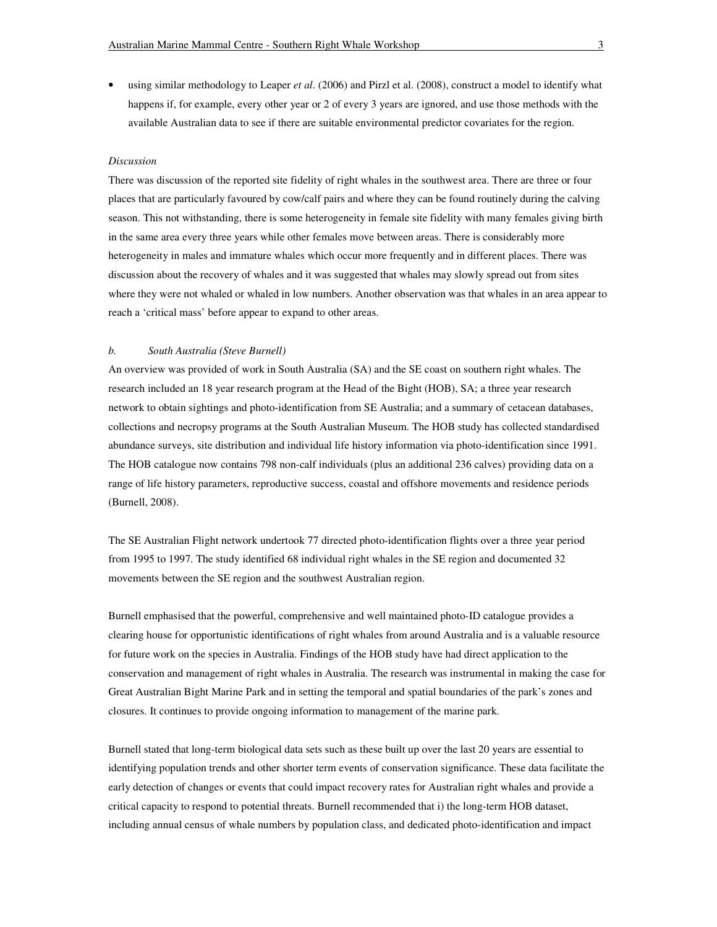• using similar methodology to Leaper *et al*. (2006) and Pirzl et al. (2008), construct a model to identify what happens if, for example, every other year or 2 of every 3 years are ignored, and use those methods with the available Australian data to see if there are suitable environmental predictor covariates for the region.

## *Discussion*

There was discussion of the reported site fidelity of right whales in the southwest area. There are three or four places that are particularly favoured by cow/calf pairs and where they can be found routinely during the calving season. This not withstanding, there is some heterogeneity in female site fidelity with many females giving birth in the same area every three years while other females move between areas. There is considerably more heterogeneity in males and immature whales which occur more frequently and in different places. There was discussion about the recovery of whales and it was suggested that whales may slowly spread out from sites where they were not whaled or whaled in low numbers. Another observation was that whales in an area appear to reach a 'critical mass' before appear to expand to other areas.

#### *b. South Australia (Steve Burnell)*

An overview was provided of work in South Australia (SA) and the SE coast on southern right whales. The research included an 18 year research program at the Head of the Bight (HOB), SA; a three year research network to obtain sightings and photo-identification from SE Australia; and a summary of cetacean databases, collections and necropsy programs at the South Australian Museum. The HOB study has collected standardised abundance surveys, site distribution and individual life history information via photo-identification since 1991. The HOB catalogue now contains 798 non-calf individuals (plus an additional 236 calves) providing data on a range of life history parameters, reproductive success, coastal and offshore movements and residence periods (Burnell, 2008).

The SE Australian Flight network undertook 77 directed photo-identification flights over a three year period from 1995 to 1997. The study identified 68 individual right whales in the SE region and documented 32 movements between the SE region and the southwest Australian region.

Burnell emphasised that the powerful, comprehensive and well maintained photo-ID catalogue provides a clearing house for opportunistic identifications of right whales from around Australia and is a valuable resource for future work on the species in Australia. Findings of the HOB study have had direct application to the conservation and management of right whales in Australia. The research was instrumental in making the case for Great Australian Bight Marine Park and in setting the temporal and spatial boundaries of the park's zones and closures. It continues to provide ongoing information to management of the marine park.

Burnell stated that long-term biological data sets such as these built up over the last 20 years are essential to identifying population trends and other shorter term events of conservation significance. These data facilitate the early detection of changes or events that could impact recovery rates for Australian right whales and provide a critical capacity to respond to potential threats. Burnell recommended that i) the long-term HOB dataset, including annual census of whale numbers by population class, and dedicated photo-identification and impact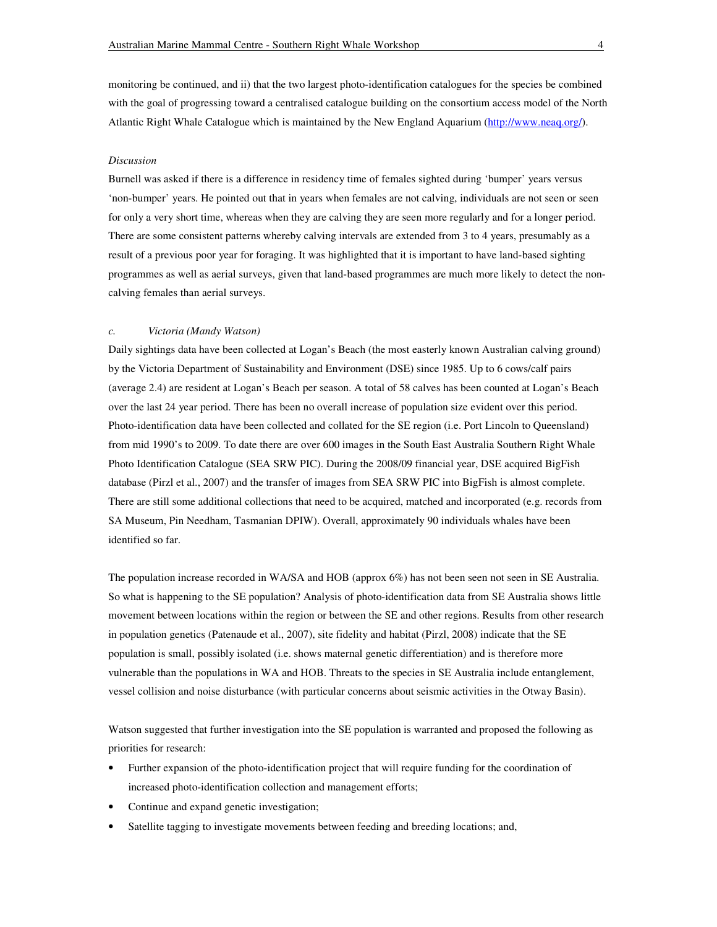monitoring be continued, and ii) that the two largest photo-identification catalogues for the species be combined with the goal of progressing toward a centralised catalogue building on the consortium access model of the North Atlantic Right Whale Catalogue which is maintained by the New England Aquarium (http://www.neaq.org/).

## *Discussion*

Burnell was asked if there is a difference in residency time of females sighted during 'bumper' years versus 'non-bumper' years. He pointed out that in years when females are not calving, individuals are not seen or seen for only a very short time, whereas when they are calving they are seen more regularly and for a longer period. There are some consistent patterns whereby calving intervals are extended from 3 to 4 years, presumably as a result of a previous poor year for foraging. It was highlighted that it is important to have land-based sighting programmes as well as aerial surveys, given that land-based programmes are much more likely to detect the noncalving females than aerial surveys.

#### *c. Victoria (Mandy Watson)*

Daily sightings data have been collected at Logan's Beach (the most easterly known Australian calving ground) by the Victoria Department of Sustainability and Environment (DSE) since 1985. Up to 6 cows/calf pairs (average 2.4) are resident at Logan's Beach per season. A total of 58 calves has been counted at Logan's Beach over the last 24 year period. There has been no overall increase of population size evident over this period. Photo-identification data have been collected and collated for the SE region (i.e. Port Lincoln to Queensland) from mid 1990's to 2009. To date there are over 600 images in the South East Australia Southern Right Whale Photo Identification Catalogue (SEA SRW PIC). During the 2008/09 financial year, DSE acquired BigFish database (Pirzl et al., 2007) and the transfer of images from SEA SRW PIC into BigFish is almost complete. There are still some additional collections that need to be acquired, matched and incorporated (e.g. records from SA Museum, Pin Needham, Tasmanian DPIW). Overall, approximately 90 individuals whales have been identified so far.

The population increase recorded in WA/SA and HOB (approx 6%) has not been seen not seen in SE Australia. So what is happening to the SE population? Analysis of photo-identification data from SE Australia shows little movement between locations within the region or between the SE and other regions. Results from other research in population genetics (Patenaude et al., 2007), site fidelity and habitat (Pirzl, 2008) indicate that the SE population is small, possibly isolated (i.e. shows maternal genetic differentiation) and is therefore more vulnerable than the populations in WA and HOB. Threats to the species in SE Australia include entanglement, vessel collision and noise disturbance (with particular concerns about seismic activities in the Otway Basin).

Watson suggested that further investigation into the SE population is warranted and proposed the following as priorities for research:

- Further expansion of the photo-identification project that will require funding for the coordination of increased photo-identification collection and management efforts;
- Continue and expand genetic investigation;
- Satellite tagging to investigate movements between feeding and breeding locations; and,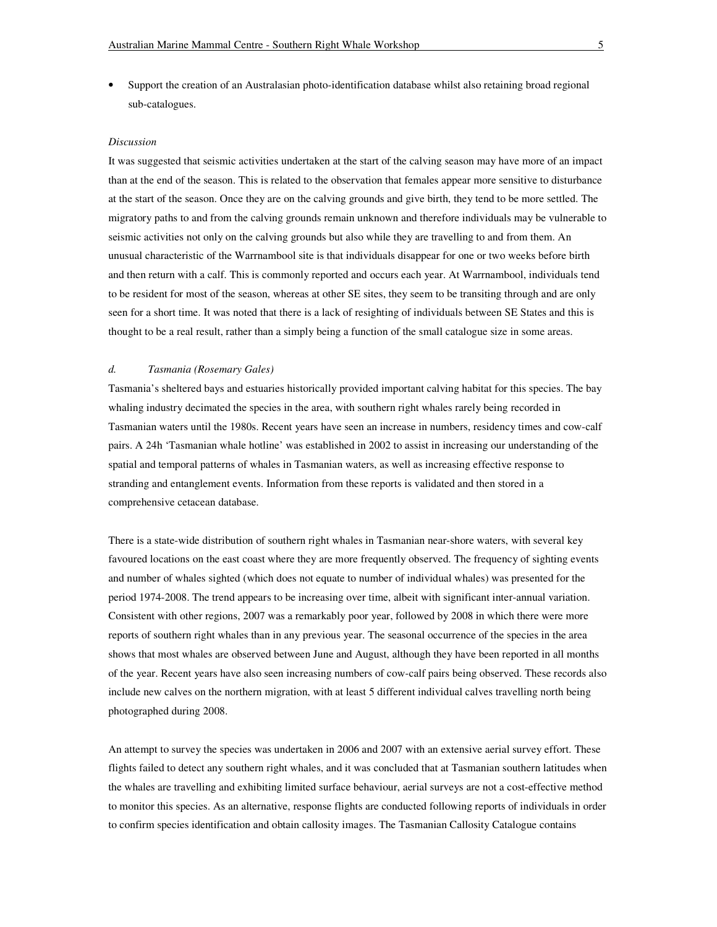• Support the creation of an Australasian photo-identification database whilst also retaining broad regional sub-catalogues.

### *Discussion*

It was suggested that seismic activities undertaken at the start of the calving season may have more of an impact than at the end of the season. This is related to the observation that females appear more sensitive to disturbance at the start of the season. Once they are on the calving grounds and give birth, they tend to be more settled. The migratory paths to and from the calving grounds remain unknown and therefore individuals may be vulnerable to seismic activities not only on the calving grounds but also while they are travelling to and from them. An unusual characteristic of the Warrnambool site is that individuals disappear for one or two weeks before birth and then return with a calf. This is commonly reported and occurs each year. At Warrnambool, individuals tend to be resident for most of the season, whereas at other SE sites, they seem to be transiting through and are only seen for a short time. It was noted that there is a lack of resighting of individuals between SE States and this is thought to be a real result, rather than a simply being a function of the small catalogue size in some areas.

## *d. Tasmania (Rosemary Gales)*

Tasmania's sheltered bays and estuaries historically provided important calving habitat for this species. The bay whaling industry decimated the species in the area, with southern right whales rarely being recorded in Tasmanian waters until the 1980s. Recent years have seen an increase in numbers, residency times and cow-calf pairs. A 24h 'Tasmanian whale hotline' was established in 2002 to assist in increasing our understanding of the spatial and temporal patterns of whales in Tasmanian waters, as well as increasing effective response to stranding and entanglement events. Information from these reports is validated and then stored in a comprehensive cetacean database.

There is a state-wide distribution of southern right whales in Tasmanian near-shore waters, with several key favoured locations on the east coast where they are more frequently observed. The frequency of sighting events and number of whales sighted (which does not equate to number of individual whales) was presented for the period 1974-2008. The trend appears to be increasing over time, albeit with significant inter-annual variation. Consistent with other regions, 2007 was a remarkably poor year, followed by 2008 in which there were more reports of southern right whales than in any previous year. The seasonal occurrence of the species in the area shows that most whales are observed between June and August, although they have been reported in all months of the year. Recent years have also seen increasing numbers of cow-calf pairs being observed. These records also include new calves on the northern migration, with at least 5 different individual calves travelling north being photographed during 2008.

An attempt to survey the species was undertaken in 2006 and 2007 with an extensive aerial survey effort. These flights failed to detect any southern right whales, and it was concluded that at Tasmanian southern latitudes when the whales are travelling and exhibiting limited surface behaviour, aerial surveys are not a cost-effective method to monitor this species. As an alternative, response flights are conducted following reports of individuals in order to confirm species identification and obtain callosity images. The Tasmanian Callosity Catalogue contains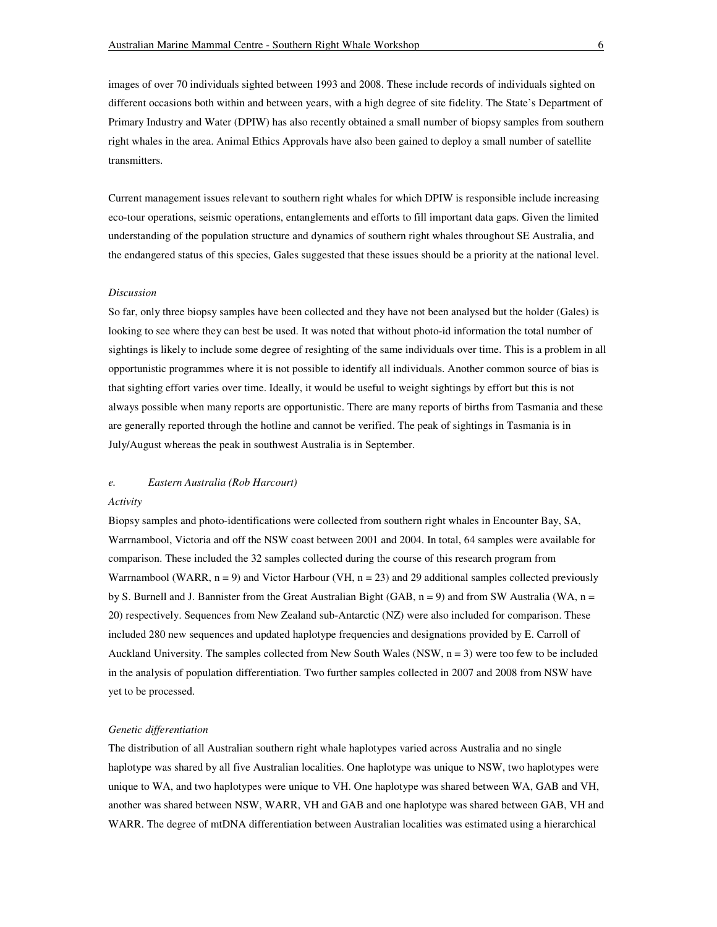images of over 70 individuals sighted between 1993 and 2008. These include records of individuals sighted on different occasions both within and between years, with a high degree of site fidelity. The State's Department of Primary Industry and Water (DPIW) has also recently obtained a small number of biopsy samples from southern right whales in the area. Animal Ethics Approvals have also been gained to deploy a small number of satellite transmitters.

Current management issues relevant to southern right whales for which DPIW is responsible include increasing eco-tour operations, seismic operations, entanglements and efforts to fill important data gaps. Given the limited understanding of the population structure and dynamics of southern right whales throughout SE Australia, and the endangered status of this species, Gales suggested that these issues should be a priority at the national level.

#### *Discussion*

So far, only three biopsy samples have been collected and they have not been analysed but the holder (Gales) is looking to see where they can best be used. It was noted that without photo-id information the total number of sightings is likely to include some degree of resighting of the same individuals over time. This is a problem in all opportunistic programmes where it is not possible to identify all individuals. Another common source of bias is that sighting effort varies over time. Ideally, it would be useful to weight sightings by effort but this is not always possible when many reports are opportunistic. There are many reports of births from Tasmania and these are generally reported through the hotline and cannot be verified. The peak of sightings in Tasmania is in July/August whereas the peak in southwest Australia is in September.

## *e. Eastern Australia (Rob Harcourt)*

#### *Activity*

Biopsy samples and photo-identifications were collected from southern right whales in Encounter Bay, SA, Warrnambool, Victoria and off the NSW coast between 2001 and 2004. In total, 64 samples were available for comparison. These included the 32 samples collected during the course of this research program from Warrnambool (WARR,  $n = 9$ ) and Victor Harbour (VH,  $n = 23$ ) and 29 additional samples collected previously by S. Burnell and J. Bannister from the Great Australian Bight (GAB,  $n = 9$ ) and from SW Australia (WA,  $n =$ 20) respectively. Sequences from New Zealand sub-Antarctic (NZ) were also included for comparison. These included 280 new sequences and updated haplotype frequencies and designations provided by E. Carroll of Auckland University. The samples collected from New South Wales (NSW,  $n = 3$ ) were too few to be included in the analysis of population differentiation. Two further samples collected in 2007 and 2008 from NSW have yet to be processed.

#### *Genetic differentiation*

The distribution of all Australian southern right whale haplotypes varied across Australia and no single haplotype was shared by all five Australian localities. One haplotype was unique to NSW, two haplotypes were unique to WA, and two haplotypes were unique to VH. One haplotype was shared between WA, GAB and VH, another was shared between NSW, WARR, VH and GAB and one haplotype was shared between GAB, VH and WARR. The degree of mtDNA differentiation between Australian localities was estimated using a hierarchical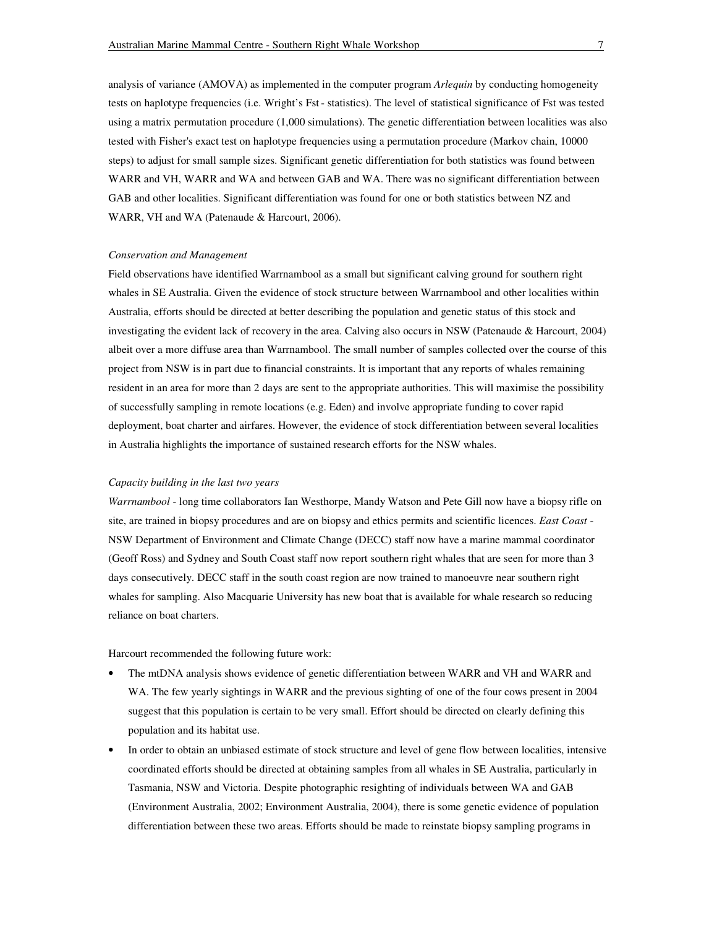analysis of variance (AMOVA) as implemented in the computer program *Arlequin* by conducting homogeneity tests on haplotype frequencies (i.e. Wright's Fst - statistics). The level of statistical significance of Fst was tested using a matrix permutation procedure (1,000 simulations). The genetic differentiation between localities was also tested with Fisher's exact test on haplotype frequencies using a permutation procedure (Markov chain, 10000 steps) to adjust for small sample sizes. Significant genetic differentiation for both statistics was found between WARR and VH, WARR and WA and between GAB and WA. There was no significant differentiation between GAB and other localities. Significant differentiation was found for one or both statistics between NZ and WARR, VH and WA (Patenaude & Harcourt, 2006).

#### *Conservation and Management*

Field observations have identified Warrnambool as a small but significant calving ground for southern right whales in SE Australia. Given the evidence of stock structure between Warrnambool and other localities within Australia, efforts should be directed at better describing the population and genetic status of this stock and investigating the evident lack of recovery in the area. Calving also occurs in NSW (Patenaude & Harcourt, 2004) albeit over a more diffuse area than Warrnambool. The small number of samples collected over the course of this project from NSW is in part due to financial constraints. It is important that any reports of whales remaining resident in an area for more than 2 days are sent to the appropriate authorities. This will maximise the possibility of successfully sampling in remote locations (e.g. Eden) and involve appropriate funding to cover rapid deployment, boat charter and airfares. However, the evidence of stock differentiation between several localities in Australia highlights the importance of sustained research efforts for the NSW whales.

### *Capacity building in the last two years*

*Warrnambool* - long time collaborators Ian Westhorpe, Mandy Watson and Pete Gill now have a biopsy rifle on site, are trained in biopsy procedures and are on biopsy and ethics permits and scientific licences. *East Coast* - NSW Department of Environment and Climate Change (DECC) staff now have a marine mammal coordinator (Geoff Ross) and Sydney and South Coast staff now report southern right whales that are seen for more than 3 days consecutively. DECC staff in the south coast region are now trained to manoeuvre near southern right whales for sampling. Also Macquarie University has new boat that is available for whale research so reducing reliance on boat charters.

Harcourt recommended the following future work:

- The mtDNA analysis shows evidence of genetic differentiation between WARR and VH and WARR and WA. The few yearly sightings in WARR and the previous sighting of one of the four cows present in 2004 suggest that this population is certain to be very small. Effort should be directed on clearly defining this population and its habitat use.
- In order to obtain an unbiased estimate of stock structure and level of gene flow between localities, intensive coordinated efforts should be directed at obtaining samples from all whales in SE Australia, particularly in Tasmania, NSW and Victoria. Despite photographic resighting of individuals between WA and GAB (Environment Australia, 2002; Environment Australia, 2004), there is some genetic evidence of population differentiation between these two areas. Efforts should be made to reinstate biopsy sampling programs in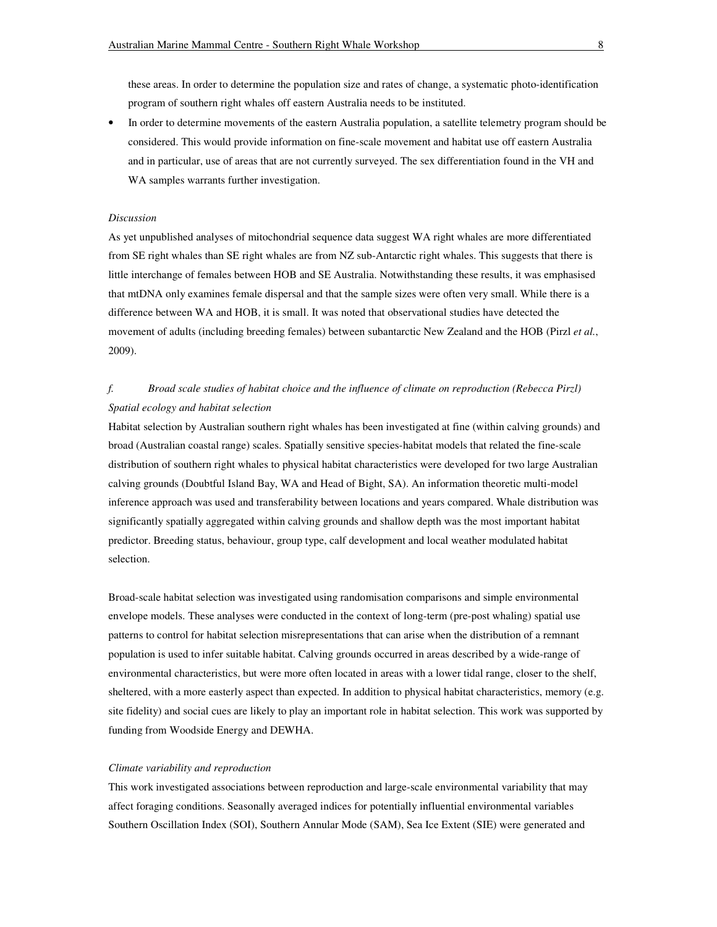these areas. In order to determine the population size and rates of change, a systematic photo-identification program of southern right whales off eastern Australia needs to be instituted.

• In order to determine movements of the eastern Australia population, a satellite telemetry program should be considered. This would provide information on fine-scale movement and habitat use off eastern Australia and in particular, use of areas that are not currently surveyed. The sex differentiation found in the VH and WA samples warrants further investigation.

### *Discussion*

As yet unpublished analyses of mitochondrial sequence data suggest WA right whales are more differentiated from SE right whales than SE right whales are from NZ sub-Antarctic right whales. This suggests that there is little interchange of females between HOB and SE Australia. Notwithstanding these results, it was emphasised that mtDNA only examines female dispersal and that the sample sizes were often very small. While there is a difference between WA and HOB, it is small. It was noted that observational studies have detected the movement of adults (including breeding females) between subantarctic New Zealand and the HOB (Pirzl *et al.*, 2009).

# *f. Broad scale studies of habitat choice and the influence of climate on reproduction (Rebecca Pirzl) Spatial ecology and habitat selection*

Habitat selection by Australian southern right whales has been investigated at fine (within calving grounds) and broad (Australian coastal range) scales. Spatially sensitive species-habitat models that related the fine-scale distribution of southern right whales to physical habitat characteristics were developed for two large Australian calving grounds (Doubtful Island Bay, WA and Head of Bight, SA). An information theoretic multi-model inference approach was used and transferability between locations and years compared. Whale distribution was significantly spatially aggregated within calving grounds and shallow depth was the most important habitat predictor. Breeding status, behaviour, group type, calf development and local weather modulated habitat selection.

Broad-scale habitat selection was investigated using randomisation comparisons and simple environmental envelope models. These analyses were conducted in the context of long-term (pre-post whaling) spatial use patterns to control for habitat selection misrepresentations that can arise when the distribution of a remnant population is used to infer suitable habitat. Calving grounds occurred in areas described by a wide-range of environmental characteristics, but were more often located in areas with a lower tidal range, closer to the shelf, sheltered, with a more easterly aspect than expected. In addition to physical habitat characteristics, memory (e.g. site fidelity) and social cues are likely to play an important role in habitat selection. This work was supported by funding from Woodside Energy and DEWHA.

#### *Climate variability and reproduction*

This work investigated associations between reproduction and large-scale environmental variability that may affect foraging conditions. Seasonally averaged indices for potentially influential environmental variables Southern Oscillation Index (SOI), Southern Annular Mode (SAM), Sea Ice Extent (SIE) were generated and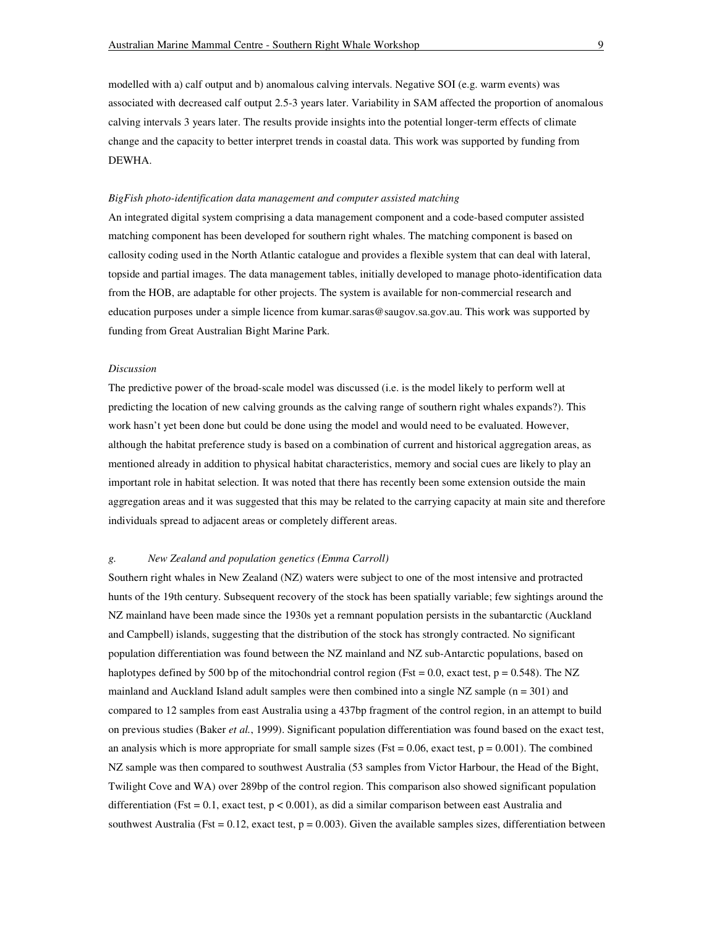modelled with a) calf output and b) anomalous calving intervals. Negative SOI (e.g. warm events) was associated with decreased calf output 2.5-3 years later. Variability in SAM affected the proportion of anomalous calving intervals 3 years later. The results provide insights into the potential longer-term effects of climate change and the capacity to better interpret trends in coastal data. This work was supported by funding from DEWHA.

### *BigFish photo-identification data management and computer assisted matching*

An integrated digital system comprising a data management component and a code-based computer assisted matching component has been developed for southern right whales. The matching component is based on callosity coding used in the North Atlantic catalogue and provides a flexible system that can deal with lateral, topside and partial images. The data management tables, initially developed to manage photo-identification data from the HOB, are adaptable for other projects. The system is available for non-commercial research and education purposes under a simple licence from kumar.saras@saugov.sa.gov.au. This work was supported by funding from Great Australian Bight Marine Park.

#### *Discussion*

The predictive power of the broad-scale model was discussed (i.e. is the model likely to perform well at predicting the location of new calving grounds as the calving range of southern right whales expands?). This work hasn't yet been done but could be done using the model and would need to be evaluated. However, although the habitat preference study is based on a combination of current and historical aggregation areas, as mentioned already in addition to physical habitat characteristics, memory and social cues are likely to play an important role in habitat selection. It was noted that there has recently been some extension outside the main aggregation areas and it was suggested that this may be related to the carrying capacity at main site and therefore individuals spread to adjacent areas or completely different areas.

## *g. New Zealand and population genetics (Emma Carroll)*

Southern right whales in New Zealand (NZ) waters were subject to one of the most intensive and protracted hunts of the 19th century. Subsequent recovery of the stock has been spatially variable; few sightings around the NZ mainland have been made since the 1930s yet a remnant population persists in the subantarctic (Auckland and Campbell) islands, suggesting that the distribution of the stock has strongly contracted. No significant population differentiation was found between the NZ mainland and NZ sub-Antarctic populations, based on haplotypes defined by 500 bp of the mitochondrial control region (Fst = 0.0, exact test,  $p = 0.548$ ). The NZ mainland and Auckland Island adult samples were then combined into a single  $NZ$  sample ( $n = 301$ ) and compared to 12 samples from east Australia using a 437bp fragment of the control region, in an attempt to build on previous studies (Baker *et al.*, 1999). Significant population differentiation was found based on the exact test, an analysis which is more appropriate for small sample sizes (Fst =  $0.06$ , exact test,  $p = 0.001$ ). The combined NZ sample was then compared to southwest Australia (53 samples from Victor Harbour, the Head of the Bight, Twilight Cove and WA) over 289bp of the control region. This comparison also showed significant population differentiation (Fst =  $0.1$ , exact test,  $p < 0.001$ ), as did a similar comparison between east Australia and southwest Australia (Fst =  $0.12$ , exact test,  $p = 0.003$ ). Given the available samples sizes, differentiation between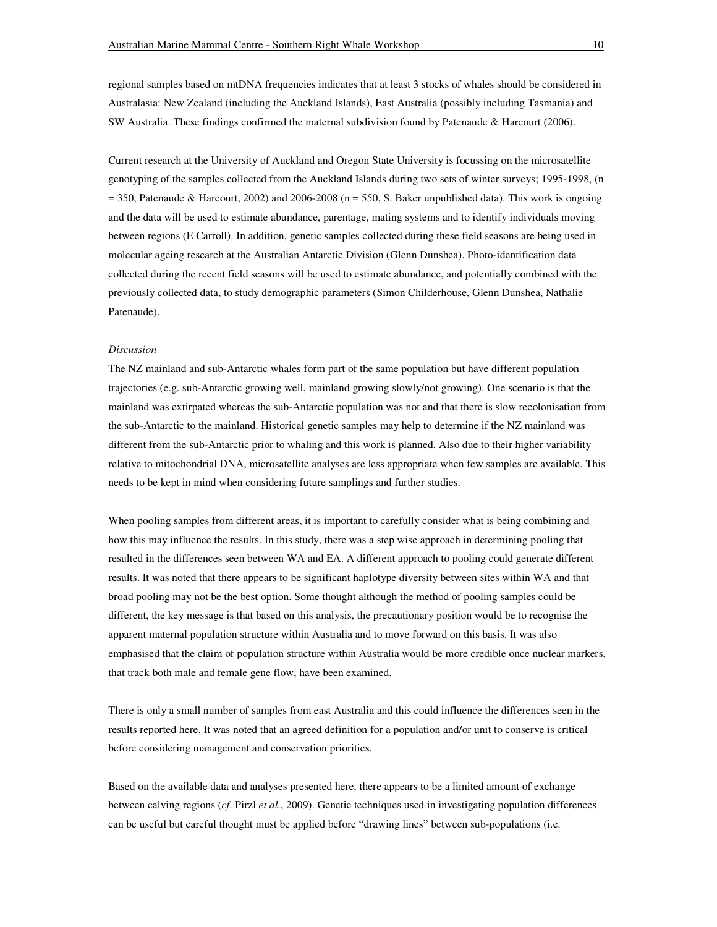regional samples based on mtDNA frequencies indicates that at least 3 stocks of whales should be considered in Australasia: New Zealand (including the Auckland Islands), East Australia (possibly including Tasmania) and SW Australia. These findings confirmed the maternal subdivision found by Patenaude & Harcourt (2006).

Current research at the University of Auckland and Oregon State University is focussing on the microsatellite genotyping of the samples collected from the Auckland Islands during two sets of winter surveys; 1995-1998, (n  $=$  350, Patenaude & Harcourt, 2002) and 2006-2008 (n = 550, S. Baker unpublished data). This work is ongoing and the data will be used to estimate abundance, parentage, mating systems and to identify individuals moving between regions (E Carroll). In addition, genetic samples collected during these field seasons are being used in molecular ageing research at the Australian Antarctic Division (Glenn Dunshea). Photo-identification data collected during the recent field seasons will be used to estimate abundance, and potentially combined with the previously collected data, to study demographic parameters (Simon Childerhouse, Glenn Dunshea, Nathalie Patenaude).

#### *Discussion*

The NZ mainland and sub-Antarctic whales form part of the same population but have different population trajectories (e.g. sub-Antarctic growing well, mainland growing slowly/not growing). One scenario is that the mainland was extirpated whereas the sub-Antarctic population was not and that there is slow recolonisation from the sub-Antarctic to the mainland. Historical genetic samples may help to determine if the NZ mainland was different from the sub-Antarctic prior to whaling and this work is planned. Also due to their higher variability relative to mitochondrial DNA, microsatellite analyses are less appropriate when few samples are available. This needs to be kept in mind when considering future samplings and further studies.

When pooling samples from different areas, it is important to carefully consider what is being combining and how this may influence the results. In this study, there was a step wise approach in determining pooling that resulted in the differences seen between WA and EA. A different approach to pooling could generate different results. It was noted that there appears to be significant haplotype diversity between sites within WA and that broad pooling may not be the best option. Some thought although the method of pooling samples could be different, the key message is that based on this analysis, the precautionary position would be to recognise the apparent maternal population structure within Australia and to move forward on this basis. It was also emphasised that the claim of population structure within Australia would be more credible once nuclear markers, that track both male and female gene flow, have been examined.

There is only a small number of samples from east Australia and this could influence the differences seen in the results reported here. It was noted that an agreed definition for a population and/or unit to conserve is critical before considering management and conservation priorities.

Based on the available data and analyses presented here, there appears to be a limited amount of exchange between calving regions (*cf*. Pirzl *et al.*, 2009). Genetic techniques used in investigating population differences can be useful but careful thought must be applied before "drawing lines" between sub-populations (i.e.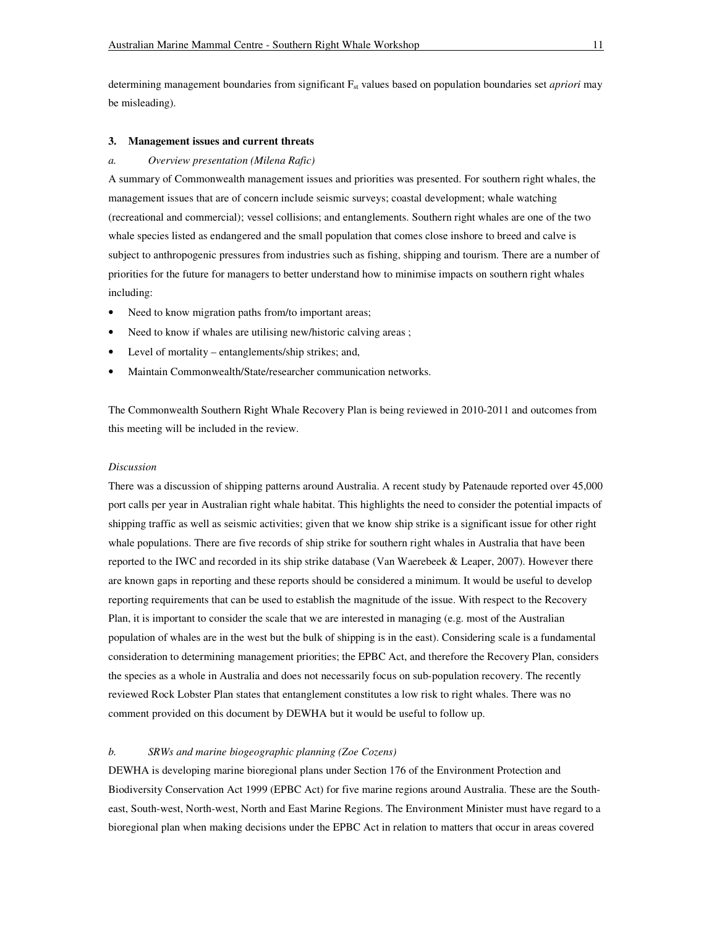determining management boundaries from significant F<sub>st</sub> values based on population boundaries set *apriori* may be misleading).

### **3. Management issues and current threats**

### *a. Overview presentation (Milena Rafic)*

A summary of Commonwealth management issues and priorities was presented. For southern right whales, the management issues that are of concern include seismic surveys; coastal development; whale watching (recreational and commercial); vessel collisions; and entanglements. Southern right whales are one of the two whale species listed as endangered and the small population that comes close inshore to breed and calve is subject to anthropogenic pressures from industries such as fishing, shipping and tourism. There are a number of priorities for the future for managers to better understand how to minimise impacts on southern right whales including:

- Need to know migration paths from/to important areas;
- Need to know if whales are utilising new/historic calving areas;
- Level of mortality entanglements/ship strikes; and,
- Maintain Commonwealth/State/researcher communication networks.

The Commonwealth Southern Right Whale Recovery Plan is being reviewed in 2010-2011 and outcomes from this meeting will be included in the review.

#### *Discussion*

There was a discussion of shipping patterns around Australia. A recent study by Patenaude reported over 45,000 port calls per year in Australian right whale habitat. This highlights the need to consider the potential impacts of shipping traffic as well as seismic activities; given that we know ship strike is a significant issue for other right whale populations. There are five records of ship strike for southern right whales in Australia that have been reported to the IWC and recorded in its ship strike database (Van Waerebeek & Leaper, 2007). However there are known gaps in reporting and these reports should be considered a minimum. It would be useful to develop reporting requirements that can be used to establish the magnitude of the issue. With respect to the Recovery Plan, it is important to consider the scale that we are interested in managing (e.g. most of the Australian population of whales are in the west but the bulk of shipping is in the east). Considering scale is a fundamental consideration to determining management priorities; the EPBC Act, and therefore the Recovery Plan, considers the species as a whole in Australia and does not necessarily focus on sub-population recovery. The recently reviewed Rock Lobster Plan states that entanglement constitutes a low risk to right whales. There was no comment provided on this document by DEWHA but it would be useful to follow up.

# *b. SRWs and marine biogeographic planning (Zoe Cozens)*

DEWHA is developing marine bioregional plans under Section 176 of the Environment Protection and Biodiversity Conservation Act 1999 (EPBC Act) for five marine regions around Australia. These are the Southeast, South-west, North-west, North and East Marine Regions. The Environment Minister must have regard to a bioregional plan when making decisions under the EPBC Act in relation to matters that occur in areas covered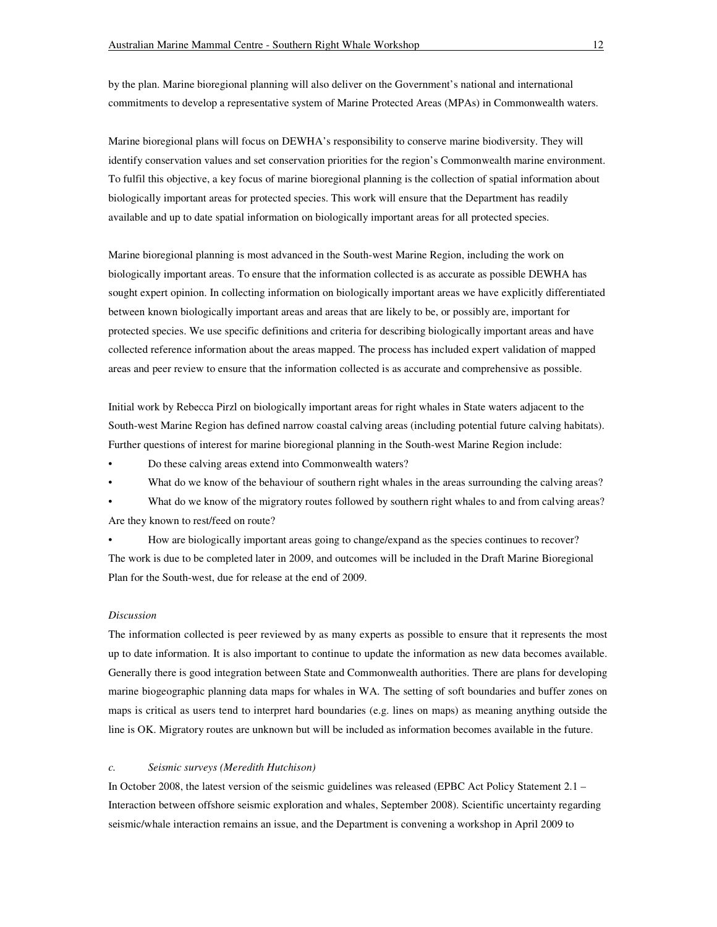by the plan. Marine bioregional planning will also deliver on the Government's national and international commitments to develop a representative system of Marine Protected Areas (MPAs) in Commonwealth waters.

Marine bioregional plans will focus on DEWHA's responsibility to conserve marine biodiversity. They will identify conservation values and set conservation priorities for the region's Commonwealth marine environment. To fulfil this objective, a key focus of marine bioregional planning is the collection of spatial information about biologically important areas for protected species. This work will ensure that the Department has readily available and up to date spatial information on biologically important areas for all protected species.

Marine bioregional planning is most advanced in the South-west Marine Region, including the work on biologically important areas. To ensure that the information collected is as accurate as possible DEWHA has sought expert opinion. In collecting information on biologically important areas we have explicitly differentiated between known biologically important areas and areas that are likely to be, or possibly are, important for protected species. We use specific definitions and criteria for describing biologically important areas and have collected reference information about the areas mapped. The process has included expert validation of mapped areas and peer review to ensure that the information collected is as accurate and comprehensive as possible.

Initial work by Rebecca Pirzl on biologically important areas for right whales in State waters adjacent to the South-west Marine Region has defined narrow coastal calving areas (including potential future calving habitats). Further questions of interest for marine bioregional planning in the South-west Marine Region include:

• Do these calving areas extend into Commonwealth waters?

What do we know of the behaviour of southern right whales in the areas surrounding the calving areas?

What do we know of the migratory routes followed by southern right whales to and from calving areas? Are they known to rest/feed on route?

• How are biologically important areas going to change/expand as the species continues to recover? The work is due to be completed later in 2009, and outcomes will be included in the Draft Marine Bioregional Plan for the South-west, due for release at the end of 2009.

#### *Discussion*

The information collected is peer reviewed by as many experts as possible to ensure that it represents the most up to date information. It is also important to continue to update the information as new data becomes available. Generally there is good integration between State and Commonwealth authorities. There are plans for developing marine biogeographic planning data maps for whales in WA. The setting of soft boundaries and buffer zones on maps is critical as users tend to interpret hard boundaries (e.g. lines on maps) as meaning anything outside the line is OK. Migratory routes are unknown but will be included as information becomes available in the future.

#### *c. Seismic surveys (Meredith Hutchison)*

In October 2008, the latest version of the seismic guidelines was released (EPBC Act Policy Statement 2.1 – Interaction between offshore seismic exploration and whales, September 2008). Scientific uncertainty regarding seismic/whale interaction remains an issue, and the Department is convening a workshop in April 2009 to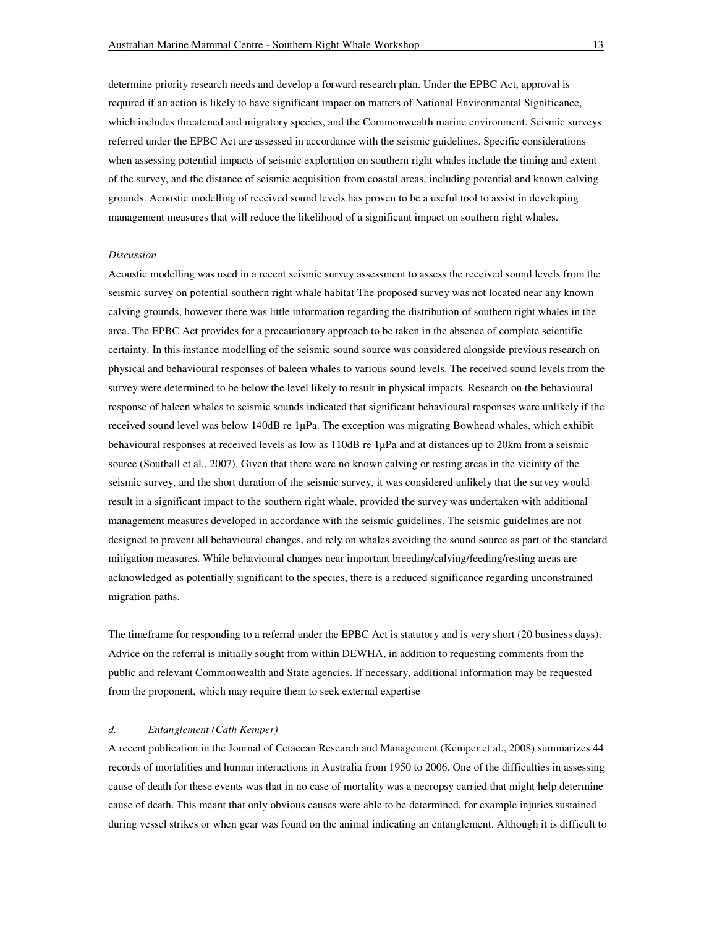determine priority research needs and develop a forward research plan. Under the EPBC Act, approval is required if an action is likely to have significant impact on matters of National Environmental Significance, which includes threatened and migratory species, and the Commonwealth marine environment. Seismic surveys referred under the EPBC Act are assessed in accordance with the seismic guidelines. Specific considerations when assessing potential impacts of seismic exploration on southern right whales include the timing and extent of the survey, and the distance of seismic acquisition from coastal areas, including potential and known calving grounds. Acoustic modelling of received sound levels has proven to be a useful tool to assist in developing

management measures that will reduce the likelihood of a significant impact on southern right whales.

#### *Discussion*

Acoustic modelling was used in a recent seismic survey assessment to assess the received sound levels from the seismic survey on potential southern right whale habitat The proposed survey was not located near any known calving grounds, however there was little information regarding the distribution of southern right whales in the area. The EPBC Act provides for a precautionary approach to be taken in the absence of complete scientific certainty. In this instance modelling of the seismic sound source was considered alongside previous research on physical and behavioural responses of baleen whales to various sound levels. The received sound levels from the survey were determined to be below the level likely to result in physical impacts. Research on the behavioural response of baleen whales to seismic sounds indicated that significant behavioural responses were unlikely if the received sound level was below 140dB re  $1\mu$ Pa. The exception was migrating Bowhead whales, which exhibit behavioural responses at received levels as low as 110dB re 1µPa and at distances up to 20km from a seismic source (Southall et al., 2007). Given that there were no known calving or resting areas in the vicinity of the seismic survey, and the short duration of the seismic survey, it was considered unlikely that the survey would result in a significant impact to the southern right whale, provided the survey was undertaken with additional management measures developed in accordance with the seismic guidelines. The seismic guidelines are not designed to prevent all behavioural changes, and rely on whales avoiding the sound source as part of the standard mitigation measures. While behavioural changes near important breeding/calving/feeding/resting areas are acknowledged as potentially significant to the species, there is a reduced significance regarding unconstrained migration paths.

The timeframe for responding to a referral under the EPBC Act is statutory and is very short (20 business days). Advice on the referral is initially sought from within DEWHA, in addition to requesting comments from the public and relevant Commonwealth and State agencies. If necessary, additional information may be requested from the proponent, which may require them to seek external expertise

## *d. Entanglement (Cath Kemper)*

A recent publication in the Journal of Cetacean Research and Management (Kemper et al., 2008) summarizes 44 records of mortalities and human interactions in Australia from 1950 to 2006. One of the difficulties in assessing cause of death for these events was that in no case of mortality was a necropsy carried that might help determine cause of death. This meant that only obvious causes were able to be determined, for example injuries sustained during vessel strikes or when gear was found on the animal indicating an entanglement. Although it is difficult to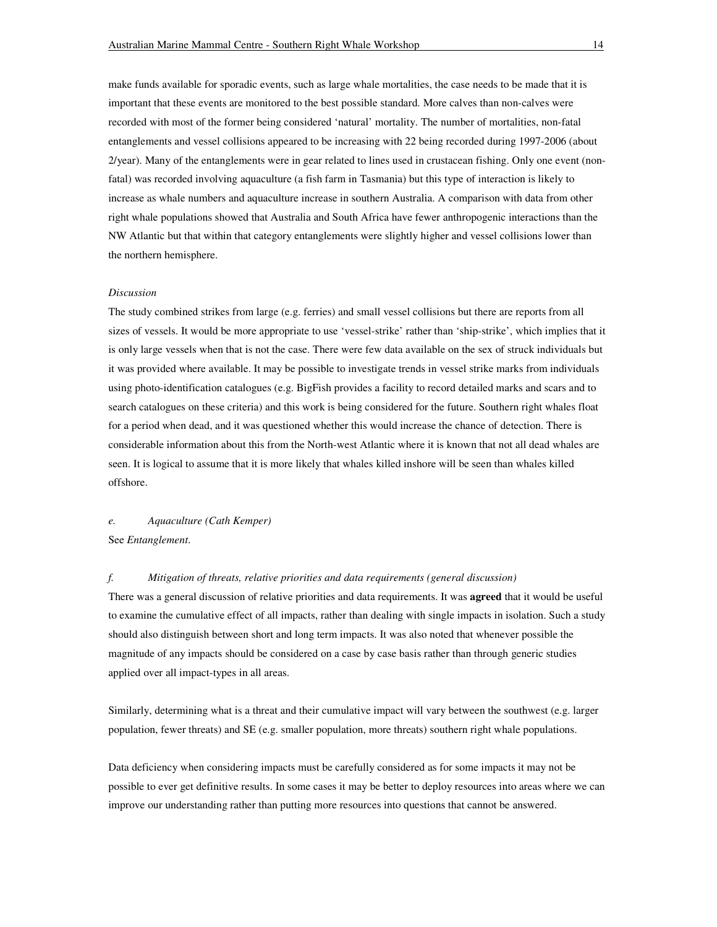make funds available for sporadic events, such as large whale mortalities, the case needs to be made that it is important that these events are monitored to the best possible standard. More calves than non-calves were recorded with most of the former being considered 'natural' mortality. The number of mortalities, non-fatal entanglements and vessel collisions appeared to be increasing with 22 being recorded during 1997-2006 (about 2/year). Many of the entanglements were in gear related to lines used in crustacean fishing. Only one event (nonfatal) was recorded involving aquaculture (a fish farm in Tasmania) but this type of interaction is likely to increase as whale numbers and aquaculture increase in southern Australia. A comparison with data from other right whale populations showed that Australia and South Africa have fewer anthropogenic interactions than the NW Atlantic but that within that category entanglements were slightly higher and vessel collisions lower than the northern hemisphere.

#### *Discussion*

The study combined strikes from large (e.g. ferries) and small vessel collisions but there are reports from all sizes of vessels. It would be more appropriate to use 'vessel-strike' rather than 'ship-strike', which implies that it is only large vessels when that is not the case. There were few data available on the sex of struck individuals but it was provided where available. It may be possible to investigate trends in vessel strike marks from individuals using photo-identification catalogues (e.g. BigFish provides a facility to record detailed marks and scars and to search catalogues on these criteria) and this work is being considered for the future. Southern right whales float for a period when dead, and it was questioned whether this would increase the chance of detection. There is considerable information about this from the North-west Atlantic where it is known that not all dead whales are seen. It is logical to assume that it is more likely that whales killed inshore will be seen than whales killed offshore.

## *e. Aquaculture (Cath Kemper)*

See *Entanglement*.

## *f. Mitigation of threats, relative priorities and data requirements (general discussion)*

There was a general discussion of relative priorities and data requirements. It was **agreed** that it would be useful to examine the cumulative effect of all impacts, rather than dealing with single impacts in isolation. Such a study should also distinguish between short and long term impacts. It was also noted that whenever possible the magnitude of any impacts should be considered on a case by case basis rather than through generic studies applied over all impact-types in all areas.

Similarly, determining what is a threat and their cumulative impact will vary between the southwest (e.g. larger population, fewer threats) and SE (e.g. smaller population, more threats) southern right whale populations.

Data deficiency when considering impacts must be carefully considered as for some impacts it may not be possible to ever get definitive results. In some cases it may be better to deploy resources into areas where we can improve our understanding rather than putting more resources into questions that cannot be answered.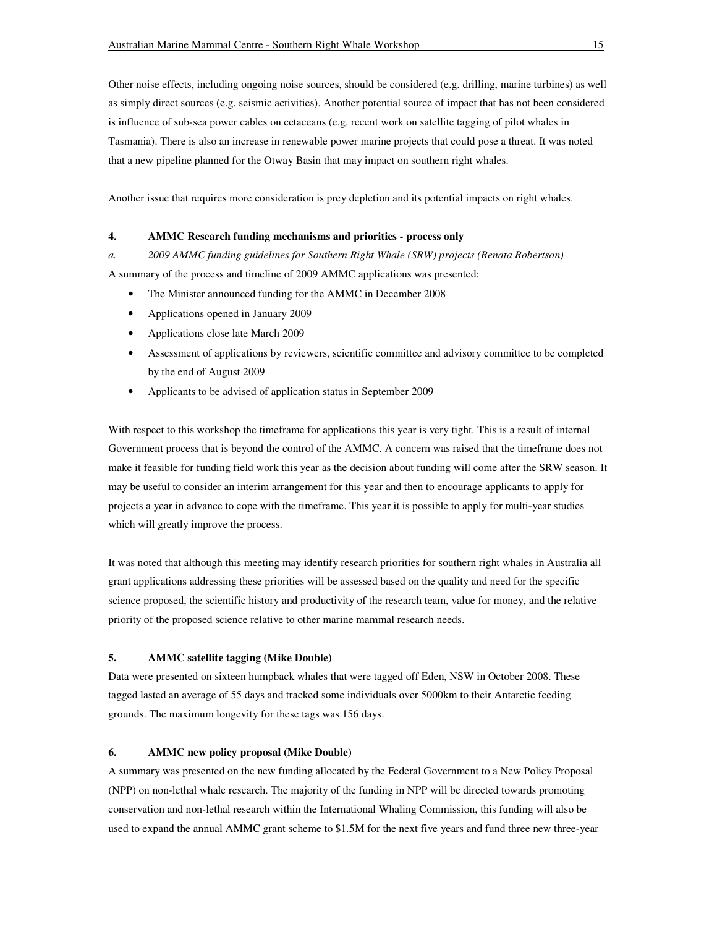Other noise effects, including ongoing noise sources, should be considered (e.g. drilling, marine turbines) as well as simply direct sources (e.g. seismic activities). Another potential source of impact that has not been considered is influence of sub-sea power cables on cetaceans (e.g. recent work on satellite tagging of pilot whales in Tasmania). There is also an increase in renewable power marine projects that could pose a threat. It was noted that a new pipeline planned for the Otway Basin that may impact on southern right whales.

Another issue that requires more consideration is prey depletion and its potential impacts on right whales.

## **4. AMMC Research funding mechanisms and priorities - process only**

*a. 2009 AMMC funding guidelines for Southern Right Whale (SRW) projects (Renata Robertson)*  A summary of the process and timeline of 2009 AMMC applications was presented:

- The Minister announced funding for the AMMC in December 2008
- Applications opened in January 2009
- Applications close late March 2009
- Assessment of applications by reviewers, scientific committee and advisory committee to be completed by the end of August 2009
- Applicants to be advised of application status in September 2009

With respect to this workshop the timeframe for applications this year is very tight. This is a result of internal Government process that is beyond the control of the AMMC. A concern was raised that the timeframe does not make it feasible for funding field work this year as the decision about funding will come after the SRW season. It may be useful to consider an interim arrangement for this year and then to encourage applicants to apply for projects a year in advance to cope with the timeframe. This year it is possible to apply for multi-year studies which will greatly improve the process.

It was noted that although this meeting may identify research priorities for southern right whales in Australia all grant applications addressing these priorities will be assessed based on the quality and need for the specific science proposed, the scientific history and productivity of the research team, value for money, and the relative priority of the proposed science relative to other marine mammal research needs.

# **5. AMMC satellite tagging (Mike Double)**

Data were presented on sixteen humpback whales that were tagged off Eden, NSW in October 2008. These tagged lasted an average of 55 days and tracked some individuals over 5000km to their Antarctic feeding grounds. The maximum longevity for these tags was 156 days.

# **6. AMMC new policy proposal (Mike Double)**

A summary was presented on the new funding allocated by the Federal Government to a New Policy Proposal (NPP) on non-lethal whale research. The majority of the funding in NPP will be directed towards promoting conservation and non-lethal research within the International Whaling Commission, this funding will also be used to expand the annual AMMC grant scheme to \$1.5M for the next five years and fund three new three-year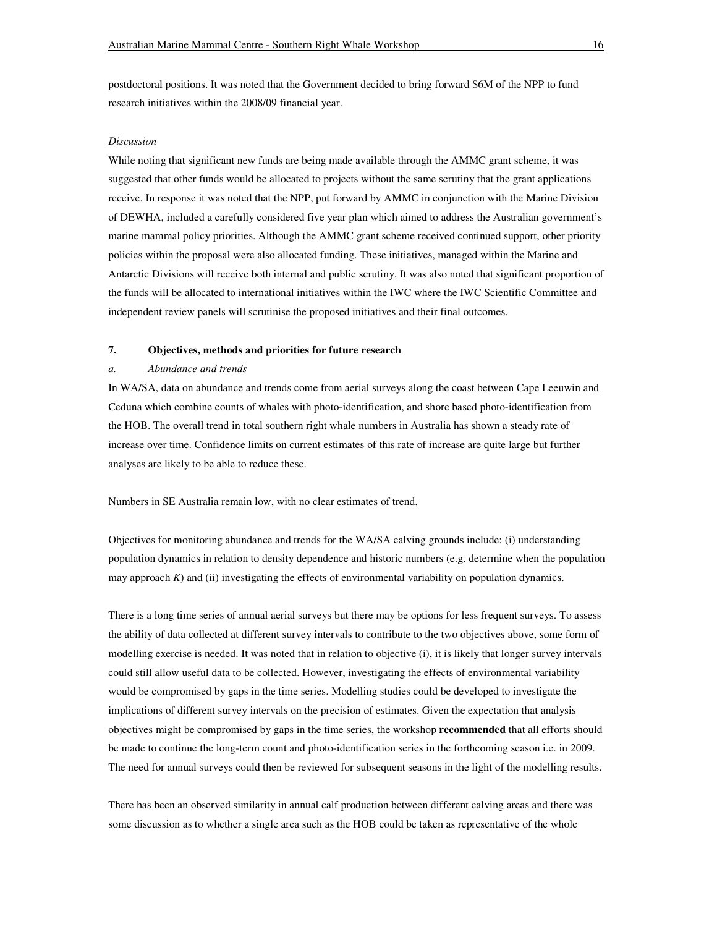postdoctoral positions. It was noted that the Government decided to bring forward \$6M of the NPP to fund research initiatives within the 2008/09 financial year.

#### *Discussion*

While noting that significant new funds are being made available through the AMMC grant scheme, it was suggested that other funds would be allocated to projects without the same scrutiny that the grant applications receive. In response it was noted that the NPP, put forward by AMMC in conjunction with the Marine Division of DEWHA, included a carefully considered five year plan which aimed to address the Australian government's marine mammal policy priorities. Although the AMMC grant scheme received continued support, other priority policies within the proposal were also allocated funding. These initiatives, managed within the Marine and Antarctic Divisions will receive both internal and public scrutiny. It was also noted that significant proportion of the funds will be allocated to international initiatives within the IWC where the IWC Scientific Committee and independent review panels will scrutinise the proposed initiatives and their final outcomes.

#### **7. Objectives, methods and priorities for future research**

### *a. Abundance and trends*

In WA/SA, data on abundance and trends come from aerial surveys along the coast between Cape Leeuwin and Ceduna which combine counts of whales with photo-identification, and shore based photo-identification from the HOB. The overall trend in total southern right whale numbers in Australia has shown a steady rate of increase over time. Confidence limits on current estimates of this rate of increase are quite large but further analyses are likely to be able to reduce these.

Numbers in SE Australia remain low, with no clear estimates of trend.

Objectives for monitoring abundance and trends for the WA/SA calving grounds include: (i) understanding population dynamics in relation to density dependence and historic numbers (e.g. determine when the population may approach *K*) and (ii) investigating the effects of environmental variability on population dynamics.

There is a long time series of annual aerial surveys but there may be options for less frequent surveys. To assess the ability of data collected at different survey intervals to contribute to the two objectives above, some form of modelling exercise is needed. It was noted that in relation to objective (i), it is likely that longer survey intervals could still allow useful data to be collected. However, investigating the effects of environmental variability would be compromised by gaps in the time series. Modelling studies could be developed to investigate the implications of different survey intervals on the precision of estimates. Given the expectation that analysis objectives might be compromised by gaps in the time series, the workshop **recommended** that all efforts should be made to continue the long-term count and photo-identification series in the forthcoming season i.e. in 2009. The need for annual surveys could then be reviewed for subsequent seasons in the light of the modelling results.

There has been an observed similarity in annual calf production between different calving areas and there was some discussion as to whether a single area such as the HOB could be taken as representative of the whole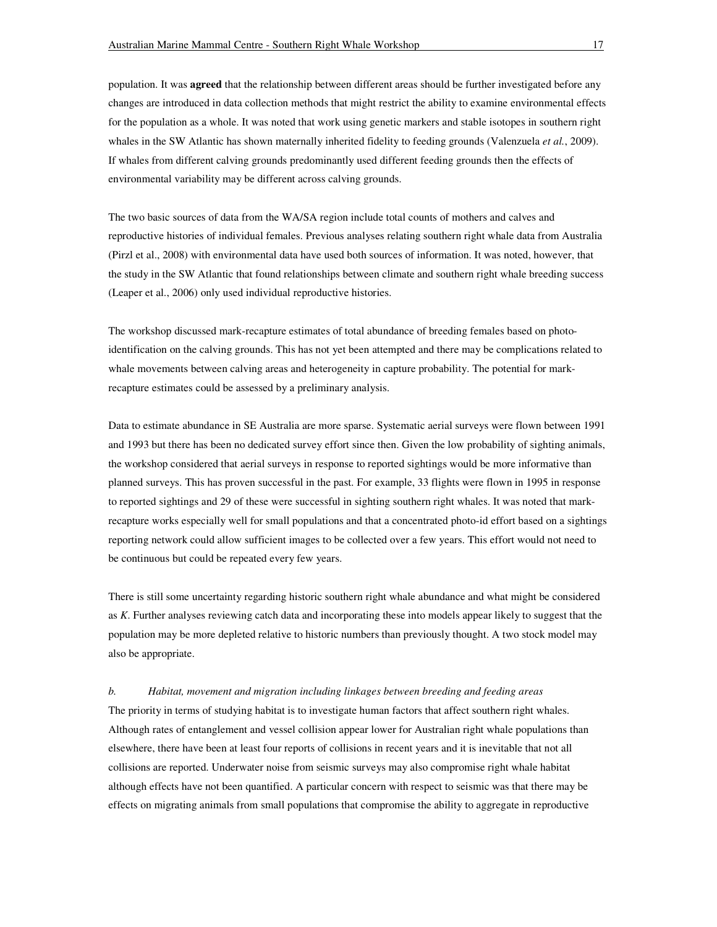population. It was **agreed** that the relationship between different areas should be further investigated before any changes are introduced in data collection methods that might restrict the ability to examine environmental effects for the population as a whole. It was noted that work using genetic markers and stable isotopes in southern right whales in the SW Atlantic has shown maternally inherited fidelity to feeding grounds (Valenzuela *et al.*, 2009). If whales from different calving grounds predominantly used different feeding grounds then the effects of environmental variability may be different across calving grounds.

The two basic sources of data from the WA/SA region include total counts of mothers and calves and reproductive histories of individual females. Previous analyses relating southern right whale data from Australia (Pirzl et al., 2008) with environmental data have used both sources of information. It was noted, however, that the study in the SW Atlantic that found relationships between climate and southern right whale breeding success (Leaper et al., 2006) only used individual reproductive histories.

The workshop discussed mark-recapture estimates of total abundance of breeding females based on photoidentification on the calving grounds. This has not yet been attempted and there may be complications related to whale movements between calving areas and heterogeneity in capture probability. The potential for markrecapture estimates could be assessed by a preliminary analysis.

Data to estimate abundance in SE Australia are more sparse. Systematic aerial surveys were flown between 1991 and 1993 but there has been no dedicated survey effort since then. Given the low probability of sighting animals, the workshop considered that aerial surveys in response to reported sightings would be more informative than planned surveys. This has proven successful in the past. For example, 33 flights were flown in 1995 in response to reported sightings and 29 of these were successful in sighting southern right whales. It was noted that markrecapture works especially well for small populations and that a concentrated photo-id effort based on a sightings reporting network could allow sufficient images to be collected over a few years. This effort would not need to be continuous but could be repeated every few years.

There is still some uncertainty regarding historic southern right whale abundance and what might be considered as *K*. Further analyses reviewing catch data and incorporating these into models appear likely to suggest that the population may be more depleted relative to historic numbers than previously thought. A two stock model may also be appropriate.

*b. Habitat, movement and migration including linkages between breeding and feeding areas*  The priority in terms of studying habitat is to investigate human factors that affect southern right whales. Although rates of entanglement and vessel collision appear lower for Australian right whale populations than elsewhere, there have been at least four reports of collisions in recent years and it is inevitable that not all collisions are reported. Underwater noise from seismic surveys may also compromise right whale habitat although effects have not been quantified. A particular concern with respect to seismic was that there may be effects on migrating animals from small populations that compromise the ability to aggregate in reproductive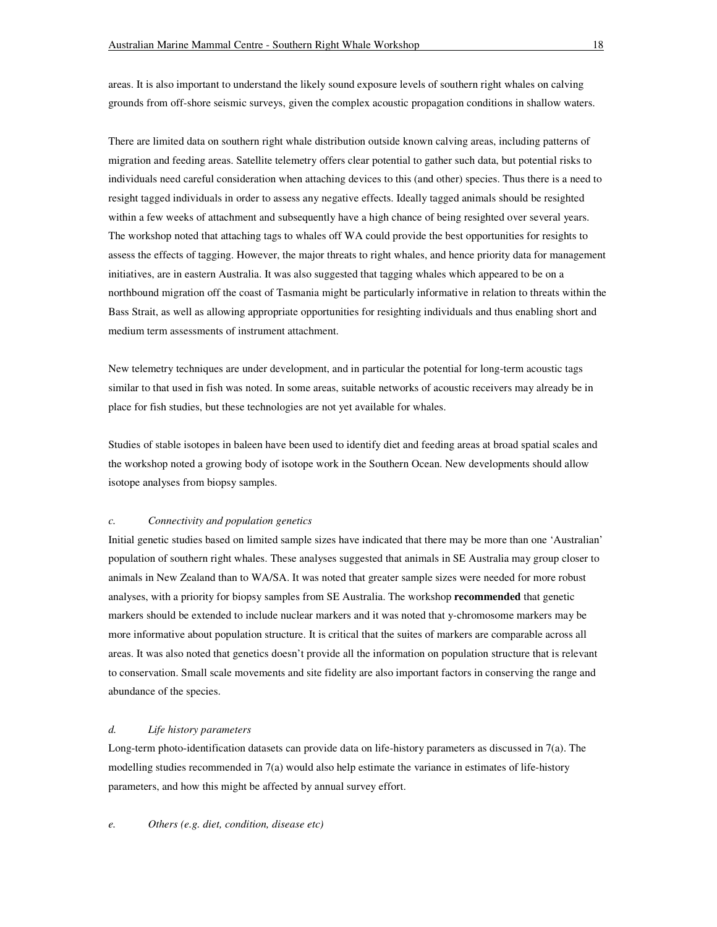areas. It is also important to understand the likely sound exposure levels of southern right whales on calving grounds from off-shore seismic surveys, given the complex acoustic propagation conditions in shallow waters.

There are limited data on southern right whale distribution outside known calving areas, including patterns of migration and feeding areas. Satellite telemetry offers clear potential to gather such data, but potential risks to individuals need careful consideration when attaching devices to this (and other) species. Thus there is a need to resight tagged individuals in order to assess any negative effects. Ideally tagged animals should be resighted within a few weeks of attachment and subsequently have a high chance of being resighted over several years. The workshop noted that attaching tags to whales off WA could provide the best opportunities for resights to assess the effects of tagging. However, the major threats to right whales, and hence priority data for management initiatives, are in eastern Australia. It was also suggested that tagging whales which appeared to be on a northbound migration off the coast of Tasmania might be particularly informative in relation to threats within the Bass Strait, as well as allowing appropriate opportunities for resighting individuals and thus enabling short and medium term assessments of instrument attachment.

New telemetry techniques are under development, and in particular the potential for long-term acoustic tags similar to that used in fish was noted. In some areas, suitable networks of acoustic receivers may already be in place for fish studies, but these technologies are not yet available for whales.

Studies of stable isotopes in baleen have been used to identify diet and feeding areas at broad spatial scales and the workshop noted a growing body of isotope work in the Southern Ocean. New developments should allow isotope analyses from biopsy samples.

## *c. Connectivity and population genetics*

Initial genetic studies based on limited sample sizes have indicated that there may be more than one 'Australian' population of southern right whales. These analyses suggested that animals in SE Australia may group closer to animals in New Zealand than to WA/SA. It was noted that greater sample sizes were needed for more robust analyses, with a priority for biopsy samples from SE Australia. The workshop **recommended** that genetic markers should be extended to include nuclear markers and it was noted that y-chromosome markers may be more informative about population structure. It is critical that the suites of markers are comparable across all areas. It was also noted that genetics doesn't provide all the information on population structure that is relevant to conservation. Small scale movements and site fidelity are also important factors in conserving the range and abundance of the species.

### *d. Life history parameters*

Long-term photo-identification datasets can provide data on life-history parameters as discussed in 7(a). The modelling studies recommended in 7(a) would also help estimate the variance in estimates of life-history parameters, and how this might be affected by annual survey effort.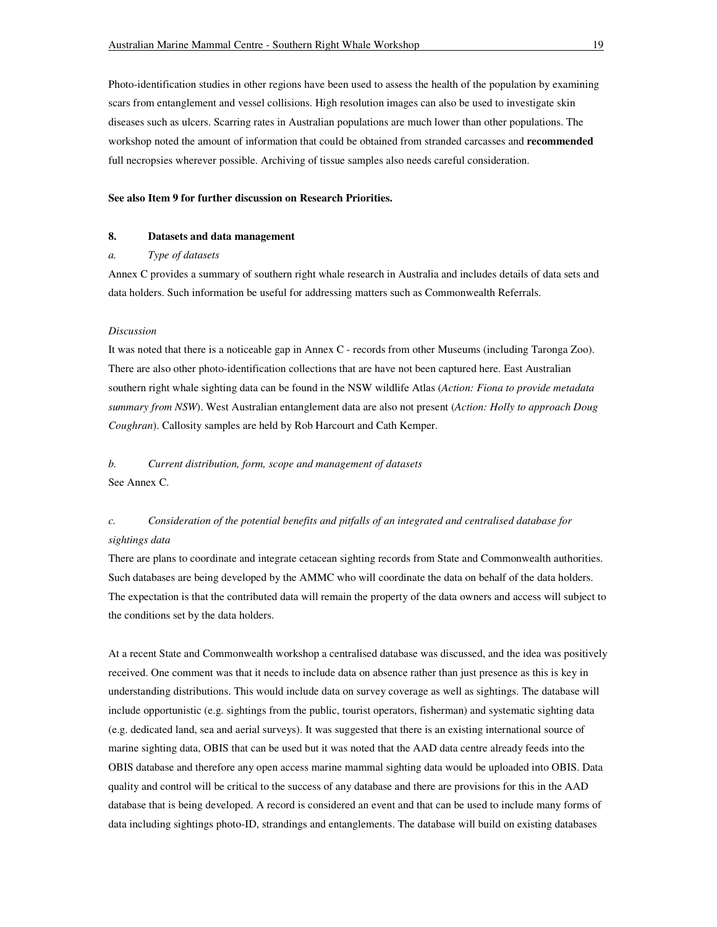Photo-identification studies in other regions have been used to assess the health of the population by examining scars from entanglement and vessel collisions. High resolution images can also be used to investigate skin diseases such as ulcers. Scarring rates in Australian populations are much lower than other populations. The workshop noted the amount of information that could be obtained from stranded carcasses and **recommended** full necropsies wherever possible. Archiving of tissue samples also needs careful consideration.

#### **See also Item 9 for further discussion on Research Priorities.**

### **8. Datasets and data management**

#### *a. Type of datasets*

Annex C provides a summary of southern right whale research in Australia and includes details of data sets and data holders. Such information be useful for addressing matters such as Commonwealth Referrals.

### *Discussion*

It was noted that there is a noticeable gap in Annex C - records from other Museums (including Taronga Zoo). There are also other photo-identification collections that are have not been captured here. East Australian southern right whale sighting data can be found in the NSW wildlife Atlas (*Action: Fiona to provide metadata summary from NSW*). West Australian entanglement data are also not present (*Action: Holly to approach Doug Coughran*). Callosity samples are held by Rob Harcourt and Cath Kemper.

# *b. Current distribution, form, scope and management of datasets*

See Annex C.

# *c. Consideration of the potential benefits and pitfalls of an integrated and centralised database for sightings data*

There are plans to coordinate and integrate cetacean sighting records from State and Commonwealth authorities. Such databases are being developed by the AMMC who will coordinate the data on behalf of the data holders. The expectation is that the contributed data will remain the property of the data owners and access will subject to the conditions set by the data holders.

At a recent State and Commonwealth workshop a centralised database was discussed, and the idea was positively received. One comment was that it needs to include data on absence rather than just presence as this is key in understanding distributions. This would include data on survey coverage as well as sightings. The database will include opportunistic (e.g. sightings from the public, tourist operators, fisherman) and systematic sighting data (e.g. dedicated land, sea and aerial surveys). It was suggested that there is an existing international source of marine sighting data, OBIS that can be used but it was noted that the AAD data centre already feeds into the OBIS database and therefore any open access marine mammal sighting data would be uploaded into OBIS. Data quality and control will be critical to the success of any database and there are provisions for this in the AAD database that is being developed. A record is considered an event and that can be used to include many forms of data including sightings photo-ID, strandings and entanglements. The database will build on existing databases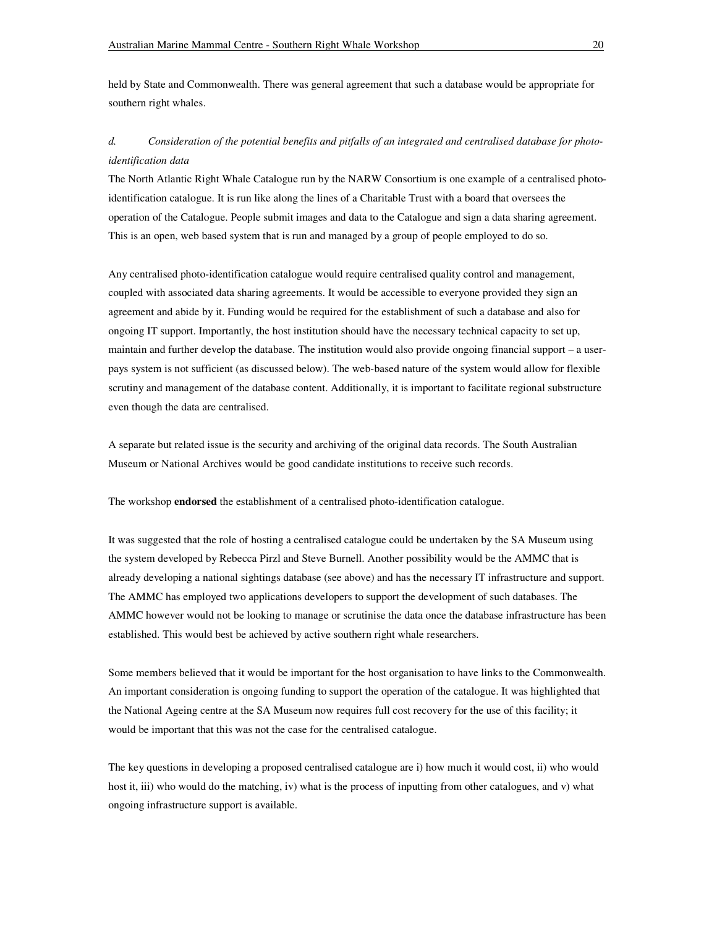held by State and Commonwealth. There was general agreement that such a database would be appropriate for southern right whales.

# *d. Consideration of the potential benefits and pitfalls of an integrated and centralised database for photoidentification data*

The North Atlantic Right Whale Catalogue run by the NARW Consortium is one example of a centralised photoidentification catalogue. It is run like along the lines of a Charitable Trust with a board that oversees the operation of the Catalogue. People submit images and data to the Catalogue and sign a data sharing agreement. This is an open, web based system that is run and managed by a group of people employed to do so.

Any centralised photo-identification catalogue would require centralised quality control and management, coupled with associated data sharing agreements. It would be accessible to everyone provided they sign an agreement and abide by it. Funding would be required for the establishment of such a database and also for ongoing IT support. Importantly, the host institution should have the necessary technical capacity to set up, maintain and further develop the database. The institution would also provide ongoing financial support – a userpays system is not sufficient (as discussed below). The web-based nature of the system would allow for flexible scrutiny and management of the database content. Additionally, it is important to facilitate regional substructure even though the data are centralised.

A separate but related issue is the security and archiving of the original data records. The South Australian Museum or National Archives would be good candidate institutions to receive such records.

The workshop **endorsed** the establishment of a centralised photo-identification catalogue.

It was suggested that the role of hosting a centralised catalogue could be undertaken by the SA Museum using the system developed by Rebecca Pirzl and Steve Burnell. Another possibility would be the AMMC that is already developing a national sightings database (see above) and has the necessary IT infrastructure and support. The AMMC has employed two applications developers to support the development of such databases. The AMMC however would not be looking to manage or scrutinise the data once the database infrastructure has been established. This would best be achieved by active southern right whale researchers.

Some members believed that it would be important for the host organisation to have links to the Commonwealth. An important consideration is ongoing funding to support the operation of the catalogue. It was highlighted that the National Ageing centre at the SA Museum now requires full cost recovery for the use of this facility; it would be important that this was not the case for the centralised catalogue.

The key questions in developing a proposed centralised catalogue are i) how much it would cost, ii) who would host it, iii) who would do the matching, iv) what is the process of inputting from other catalogues, and v) what ongoing infrastructure support is available.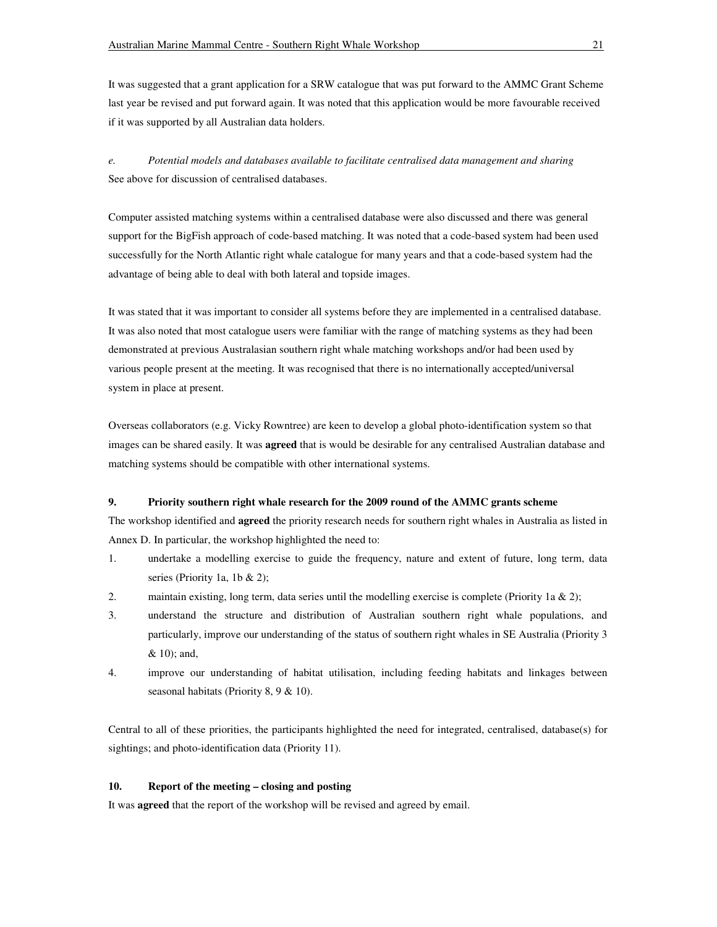It was suggested that a grant application for a SRW catalogue that was put forward to the AMMC Grant Scheme last year be revised and put forward again. It was noted that this application would be more favourable received if it was supported by all Australian data holders.

*e. Potential models and databases available to facilitate centralised data management and sharing*  See above for discussion of centralised databases.

Computer assisted matching systems within a centralised database were also discussed and there was general support for the BigFish approach of code-based matching. It was noted that a code-based system had been used successfully for the North Atlantic right whale catalogue for many years and that a code-based system had the advantage of being able to deal with both lateral and topside images.

It was stated that it was important to consider all systems before they are implemented in a centralised database. It was also noted that most catalogue users were familiar with the range of matching systems as they had been demonstrated at previous Australasian southern right whale matching workshops and/or had been used by various people present at the meeting. It was recognised that there is no internationally accepted/universal system in place at present.

Overseas collaborators (e.g. Vicky Rowntree) are keen to develop a global photo-identification system so that images can be shared easily. It was **agreed** that is would be desirable for any centralised Australian database and matching systems should be compatible with other international systems.

## **9. Priority southern right whale research for the 2009 round of the AMMC grants scheme**

The workshop identified and **agreed** the priority research needs for southern right whales in Australia as listed in Annex D. In particular, the workshop highlighted the need to:

- 1. undertake a modelling exercise to guide the frequency, nature and extent of future, long term, data series (Priority 1a, 1b & 2);
- 2. maintain existing, long term, data series until the modelling exercise is complete (Priority 1a & 2);
- 3. understand the structure and distribution of Australian southern right whale populations, and particularly, improve our understanding of the status of southern right whales in SE Australia (Priority 3 & 10); and,
- 4. improve our understanding of habitat utilisation, including feeding habitats and linkages between seasonal habitats (Priority 8, 9 & 10).

Central to all of these priorities, the participants highlighted the need for integrated, centralised, database(s) for sightings; and photo-identification data (Priority 11).

# **10. Report of the meeting – closing and posting**

It was **agreed** that the report of the workshop will be revised and agreed by email.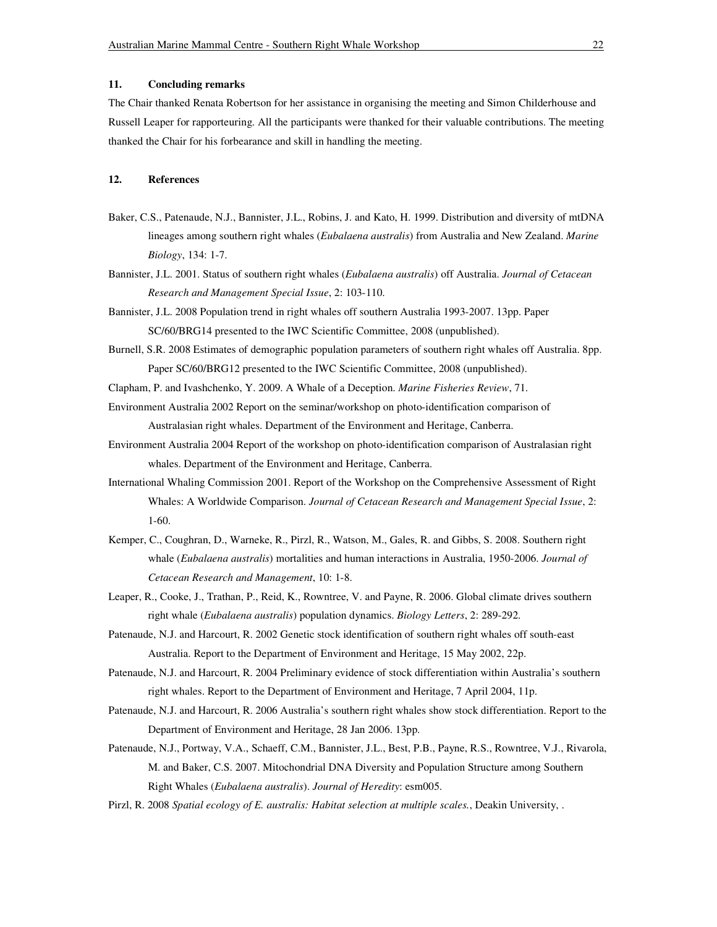## **11. Concluding remarks**

The Chair thanked Renata Robertson for her assistance in organising the meeting and Simon Childerhouse and Russell Leaper for rapporteuring. All the participants were thanked for their valuable contributions. The meeting thanked the Chair for his forbearance and skill in handling the meeting.

# **12. References**

- Baker, C.S., Patenaude, N.J., Bannister, J.L., Robins, J. and Kato, H. 1999. Distribution and diversity of mtDNA lineages among southern right whales (*Eubalaena australis*) from Australia and New Zealand. *Marine Biology*, 134: 1-7.
- Bannister, J.L. 2001. Status of southern right whales (*Eubalaena australis*) off Australia. *Journal of Cetacean Research and Management Special Issue*, 2: 103-110.
- Bannister, J.L. 2008 Population trend in right whales off southern Australia 1993-2007. 13pp. Paper SC/60/BRG14 presented to the IWC Scientific Committee, 2008 (unpublished).
- Burnell, S.R. 2008 Estimates of demographic population parameters of southern right whales off Australia. 8pp. Paper SC/60/BRG12 presented to the IWC Scientific Committee, 2008 (unpublished).
- Clapham, P. and Ivashchenko, Y. 2009. A Whale of a Deception. *Marine Fisheries Review*, 71.
- Environment Australia 2002 Report on the seminar/workshop on photo-identification comparison of Australasian right whales. Department of the Environment and Heritage, Canberra.
- Environment Australia 2004 Report of the workshop on photo-identification comparison of Australasian right whales. Department of the Environment and Heritage, Canberra.
- International Whaling Commission 2001. Report of the Workshop on the Comprehensive Assessment of Right Whales: A Worldwide Comparison. *Journal of Cetacean Research and Management Special Issue*, 2: 1-60.
- Kemper, C., Coughran, D., Warneke, R., Pirzl, R., Watson, M., Gales, R. and Gibbs, S. 2008. Southern right whale (*Eubalaena australis*) mortalities and human interactions in Australia, 1950-2006. *Journal of Cetacean Research and Management*, 10: 1-8.
- Leaper, R., Cooke, J., Trathan, P., Reid, K., Rowntree, V. and Payne, R. 2006. Global climate drives southern right whale (*Eubalaena australis*) population dynamics. *Biology Letters*, 2: 289-292.
- Patenaude, N.J. and Harcourt, R. 2002 Genetic stock identification of southern right whales off south-east Australia. Report to the Department of Environment and Heritage, 15 May 2002, 22p.
- Patenaude, N.J. and Harcourt, R. 2004 Preliminary evidence of stock differentiation within Australia's southern right whales. Report to the Department of Environment and Heritage, 7 April 2004, 11p.
- Patenaude, N.J. and Harcourt, R. 2006 Australia's southern right whales show stock differentiation. Report to the Department of Environment and Heritage, 28 Jan 2006. 13pp.
- Patenaude, N.J., Portway, V.A., Schaeff, C.M., Bannister, J.L., Best, P.B., Payne, R.S., Rowntree, V.J., Rivarola, M. and Baker, C.S. 2007. Mitochondrial DNA Diversity and Population Structure among Southern Right Whales (*Eubalaena australis*). *Journal of Heredity*: esm005.
- Pirzl, R. 2008 *Spatial ecology of E. australis: Habitat selection at multiple scales.*, Deakin University, .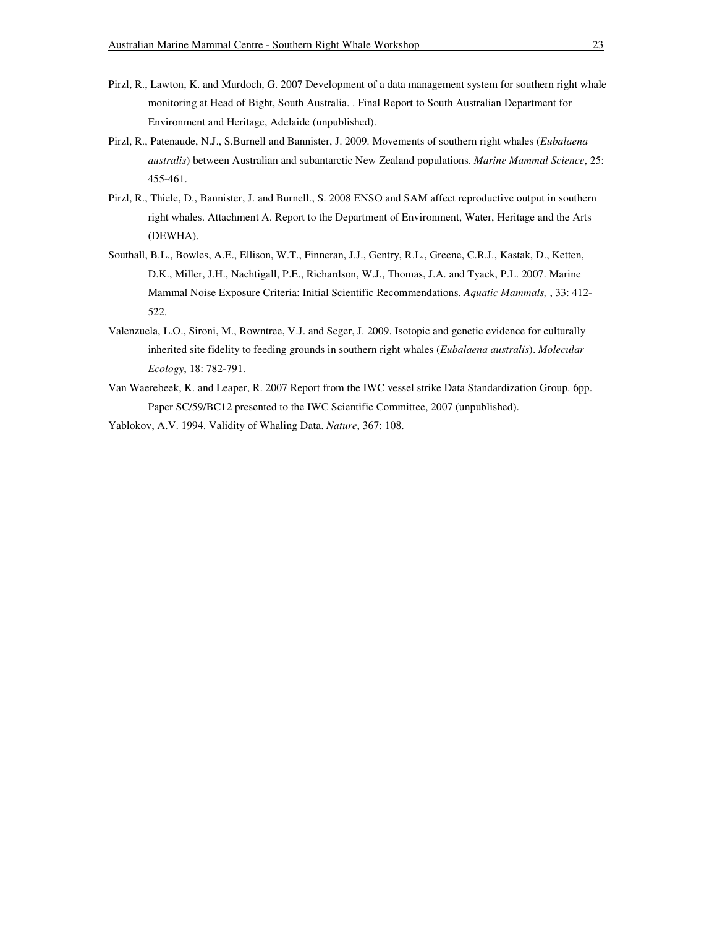- Pirzl, R., Lawton, K. and Murdoch, G. 2007 Development of a data management system for southern right whale monitoring at Head of Bight, South Australia. . Final Report to South Australian Department for Environment and Heritage, Adelaide (unpublished).
- Pirzl, R., Patenaude, N.J., S.Burnell and Bannister, J. 2009. Movements of southern right whales (*Eubalaena australis*) between Australian and subantarctic New Zealand populations. *Marine Mammal Science*, 25: 455-461.
- Pirzl, R., Thiele, D., Bannister, J. and Burnell., S. 2008 ENSO and SAM affect reproductive output in southern right whales. Attachment A. Report to the Department of Environment, Water, Heritage and the Arts (DEWHA).
- Southall, B.L., Bowles, A.E., Ellison, W.T., Finneran, J.J., Gentry, R.L., Greene, C.R.J., Kastak, D., Ketten, D.K., Miller, J.H., Nachtigall, P.E., Richardson, W.J., Thomas, J.A. and Tyack, P.L. 2007. Marine Mammal Noise Exposure Criteria: Initial Scientific Recommendations. *Aquatic Mammals,* , 33: 412- 522.
- Valenzuela, L.O., Sironi, M., Rowntree, V.J. and Seger, J. 2009. Isotopic and genetic evidence for culturally inherited site fidelity to feeding grounds in southern right whales (*Eubalaena australis*). *Molecular Ecology*, 18: 782-791.
- Van Waerebeek, K. and Leaper, R. 2007 Report from the IWC vessel strike Data Standardization Group. 6pp. Paper SC/59/BC12 presented to the IWC Scientific Committee, 2007 (unpublished).

Yablokov, A.V. 1994. Validity of Whaling Data. *Nature*, 367: 108.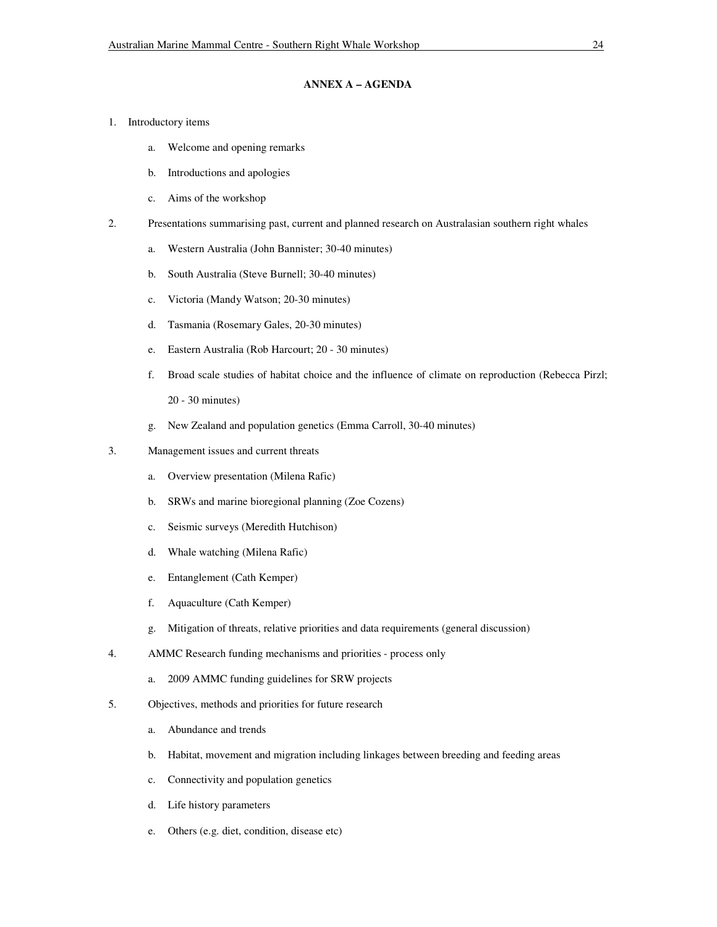# **ANNEX A – AGENDA**

- 1. Introductory items
	- a. Welcome and opening remarks
	- b. Introductions and apologies
	- c. Aims of the workshop
- 2. Presentations summarising past, current and planned research on Australasian southern right whales
	- a. Western Australia (John Bannister; 30-40 minutes)
	- b. South Australia (Steve Burnell; 30-40 minutes)
	- c. Victoria (Mandy Watson; 20-30 minutes)
	- d. Tasmania (Rosemary Gales, 20-30 minutes)
	- e. Eastern Australia (Rob Harcourt; 20 30 minutes)
	- f. Broad scale studies of habitat choice and the influence of climate on reproduction (Rebecca Pirzl; 20 - 30 minutes)
	- g. New Zealand and population genetics (Emma Carroll, 30-40 minutes)
- 3. Management issues and current threats
	- a. Overview presentation (Milena Rafic)
	- b. SRWs and marine bioregional planning (Zoe Cozens)
	- c. Seismic surveys (Meredith Hutchison)
	- d. Whale watching (Milena Rafic)
	- e. Entanglement (Cath Kemper)
	- f. Aquaculture (Cath Kemper)
	- g. Mitigation of threats, relative priorities and data requirements (general discussion)
- 4. AMMC Research funding mechanisms and priorities process only
	- a. 2009 AMMC funding guidelines for SRW projects
- 5. Objectives, methods and priorities for future research
	- a. Abundance and trends
	- b. Habitat, movement and migration including linkages between breeding and feeding areas
	- c. Connectivity and population genetics
	- d. Life history parameters
	- e. Others (e.g. diet, condition, disease etc)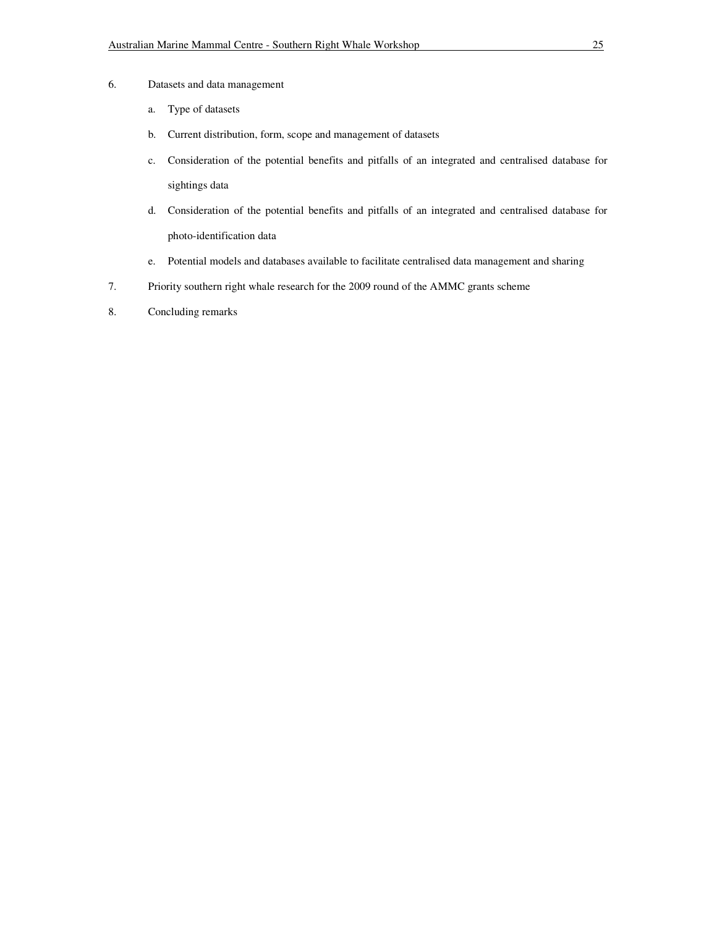- 6. Datasets and data management
	- a. Type of datasets
	- b. Current distribution, form, scope and management of datasets
	- c. Consideration of the potential benefits and pitfalls of an integrated and centralised database for sightings data
	- d. Consideration of the potential benefits and pitfalls of an integrated and centralised database for photo-identification data
	- e. Potential models and databases available to facilitate centralised data management and sharing
- 7. Priority southern right whale research for the 2009 round of the AMMC grants scheme
- 8. Concluding remarks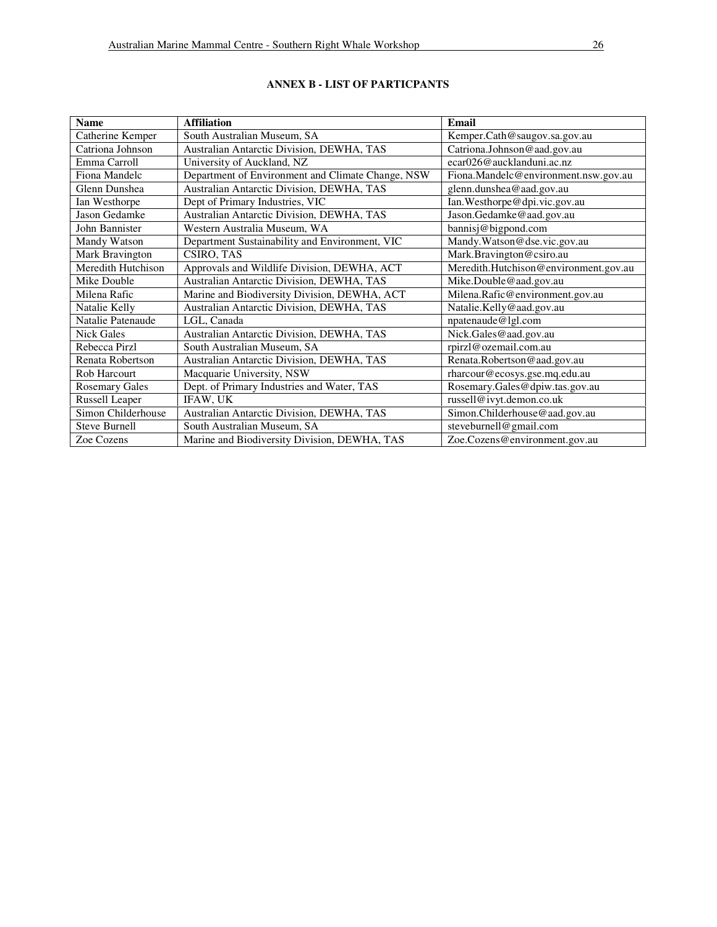| <b>Name</b>           | <b>Affiliation</b>                                | Email                                 |  |
|-----------------------|---------------------------------------------------|---------------------------------------|--|
| Catherine Kemper      | South Australian Museum, SA                       | Kemper.Cath@saugov.sa.gov.au          |  |
| Catriona Johnson      | Australian Antarctic Division, DEWHA, TAS         | Catriona.Johnson@aad.gov.au           |  |
| Emma Carroll          | University of Auckland, NZ                        | ecar026@aucklanduni.ac.nz             |  |
| Fiona Mandelc         | Department of Environment and Climate Change, NSW | Fiona.Mandelc@environment.nsw.gov.au  |  |
| Glenn Dunshea         | Australian Antarctic Division, DEWHA, TAS         | glenn.dunshea@aad.gov.au              |  |
| Ian Westhorpe         | Dept of Primary Industries, VIC                   | Ian. Westhorpe@dpi.vic.gov.au         |  |
| Jason Gedamke         | Australian Antarctic Division, DEWHA, TAS         | Jason.Gedamke@aad.gov.au              |  |
| John Bannister        | Western Australia Museum, WA                      | bannisj@bigpond.com                   |  |
| Mandy Watson          | Department Sustainability and Environment, VIC    | Mandy. Watson@dse.vic.gov.au          |  |
| Mark Bravington       | CSIRO, TAS                                        | Mark.Bravington@csiro.au              |  |
| Meredith Hutchison    | Approvals and Wildlife Division, DEWHA, ACT       | Meredith.Hutchison@environment.gov.au |  |
| Mike Double           | Australian Antarctic Division, DEWHA, TAS         | Mike.Double@aad.gov.au                |  |
| Milena Rafic          | Marine and Biodiversity Division, DEWHA, ACT      | Milena.Rafic@environment.gov.au       |  |
| Natalie Kelly         | Australian Antarctic Division, DEWHA, TAS         | Natalie.Kelly@aad.gov.au              |  |
| Natalie Patenaude     | LGL, Canada                                       | npatenaude@lgl.com                    |  |
| <b>Nick Gales</b>     | Australian Antarctic Division, DEWHA, TAS         | Nick.Gales@aad.gov.au                 |  |
| Rebecca Pirzl         | South Australian Museum, SA                       | rpirzl@ozemail.com.au                 |  |
| Renata Robertson      | Australian Antarctic Division, DEWHA, TAS         | Renata.Robertson@aad.gov.au           |  |
| Rob Harcourt          | Macquarie University, NSW                         | rharcour@ecosys.gse.mq.edu.au         |  |
| <b>Rosemary Gales</b> | Dept. of Primary Industries and Water, TAS        | Rosemary.Gales@dpiw.tas.gov.au        |  |
| Russell Leaper        | IFAW, UK                                          | russell@ivyt.demon.co.uk              |  |
| Simon Childerhouse    | Australian Antarctic Division, DEWHA, TAS         | Simon.Childerhouse@aad.gov.au         |  |
| <b>Steve Burnell</b>  | South Australian Museum, SA                       | steveburnell@gmail.com                |  |
| Zoe Cozens            | Marine and Biodiversity Division, DEWHA, TAS      | Zoe.Cozens@environment.gov.au         |  |

# **ANNEX B - LIST OF PARTICPANTS**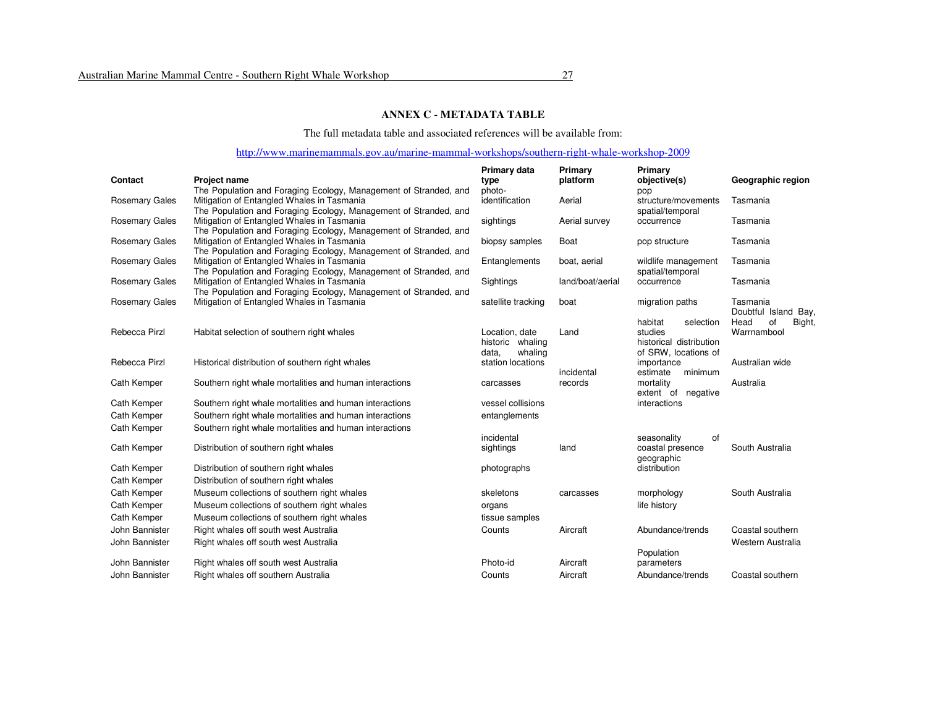# **ANNEX C - METADATA TABLE**

The full metadata table and associated references will be available from:

# http://www.marinemammals.gov.au/marine-mammal-workshops/southern-right-whale-workshop-2009

| Contact               | <b>Project name</b>                                                                                            | Primary data<br>type                                   | Primary<br>platform | Primary<br>objective(s)                                                            | Geographic region                   |
|-----------------------|----------------------------------------------------------------------------------------------------------------|--------------------------------------------------------|---------------------|------------------------------------------------------------------------------------|-------------------------------------|
|                       | The Population and Foraging Ecology, Management of Stranded, and                                               | photo-                                                 |                     | pop                                                                                |                                     |
| <b>Rosemary Gales</b> | Mitigation of Entangled Whales in Tasmania<br>The Population and Foraging Ecology, Management of Stranded, and | identification                                         | Aerial              | structure/movements<br>spatial/temporal                                            | Tasmania                            |
| <b>Rosemary Gales</b> | Mitigation of Entangled Whales in Tasmania<br>The Population and Foraging Ecology, Management of Stranded, and | sightings                                              | Aerial survey       | occurrence                                                                         | Tasmania                            |
| <b>Rosemary Gales</b> | Mitigation of Entangled Whales in Tasmania<br>The Population and Foraging Ecology, Management of Stranded, and | biopsy samples                                         | Boat                | pop structure                                                                      | Tasmania                            |
| <b>Rosemary Gales</b> | Mitigation of Entangled Whales in Tasmania<br>The Population and Foraging Ecology, Management of Stranded, and | Entanglements                                          | boat, aerial        | wildlife management<br>spatial/temporal                                            | Tasmania                            |
| <b>Rosemary Gales</b> | Mitigation of Entangled Whales in Tasmania<br>The Population and Foraging Ecology, Management of Stranded, and | Sightings                                              | land/boat/aerial    | occurrence                                                                         | Tasmania                            |
| <b>Rosemary Gales</b> | Mitigation of Entangled Whales in Tasmania                                                                     | satellite tracking                                     | boat                | migration paths                                                                    | Tasmania<br>Doubtful Island Bay,    |
| Rebecca Pirzl         | Habitat selection of southern right whales                                                                     | Location, date<br>historic whaling<br>whaling<br>data. | Land                | habitat<br>selection<br>studies<br>historical distribution<br>of SRW, locations of | Head<br>οf<br>Bight,<br>Warrnambool |
| Rebecca Pirzl         | Historical distribution of southern right whales                                                               | station locations                                      | incidental          | importance<br>minimum<br>estimate                                                  | Australian wide                     |
| Cath Kemper           | Southern right whale mortalities and human interactions                                                        | carcasses                                              | records             | mortality<br>extent of negative                                                    | Australia                           |
| Cath Kemper           | Southern right whale mortalities and human interactions                                                        | vessel collisions                                      |                     | interactions                                                                       |                                     |
| Cath Kemper           | Southern right whale mortalities and human interactions                                                        | entanglements                                          |                     |                                                                                    |                                     |
| Cath Kemper           | Southern right whale mortalities and human interactions                                                        | incidental                                             |                     | of<br>seasonality                                                                  |                                     |
| Cath Kemper           | Distribution of southern right whales                                                                          | sightings                                              | land                | coastal presence<br>geographic                                                     | South Australia                     |
| Cath Kemper           | Distribution of southern right whales                                                                          | photographs                                            |                     | distribution                                                                       |                                     |
| Cath Kemper           | Distribution of southern right whales                                                                          |                                                        |                     |                                                                                    |                                     |
| Cath Kemper           | Museum collections of southern right whales                                                                    | skeletons                                              | carcasses           | morphology                                                                         | South Australia                     |
| Cath Kemper           | Museum collections of southern right whales                                                                    | organs                                                 |                     | life history                                                                       |                                     |
| Cath Kemper           | Museum collections of southern right whales                                                                    | tissue samples                                         |                     |                                                                                    |                                     |
| John Bannister        | Right whales off south west Australia                                                                          | Counts                                                 | Aircraft            | Abundance/trends                                                                   | Coastal southern                    |
| John Bannister        | Right whales off south west Australia                                                                          |                                                        |                     |                                                                                    | Western Australia                   |
|                       |                                                                                                                |                                                        |                     | Population                                                                         |                                     |
| John Bannister        | Right whales off south west Australia                                                                          | Photo-id                                               | Aircraft            | parameters                                                                         |                                     |
| John Bannister        | Right whales off southern Australia                                                                            | Counts                                                 | Aircraft            | Abundance/trends                                                                   | Coastal southern                    |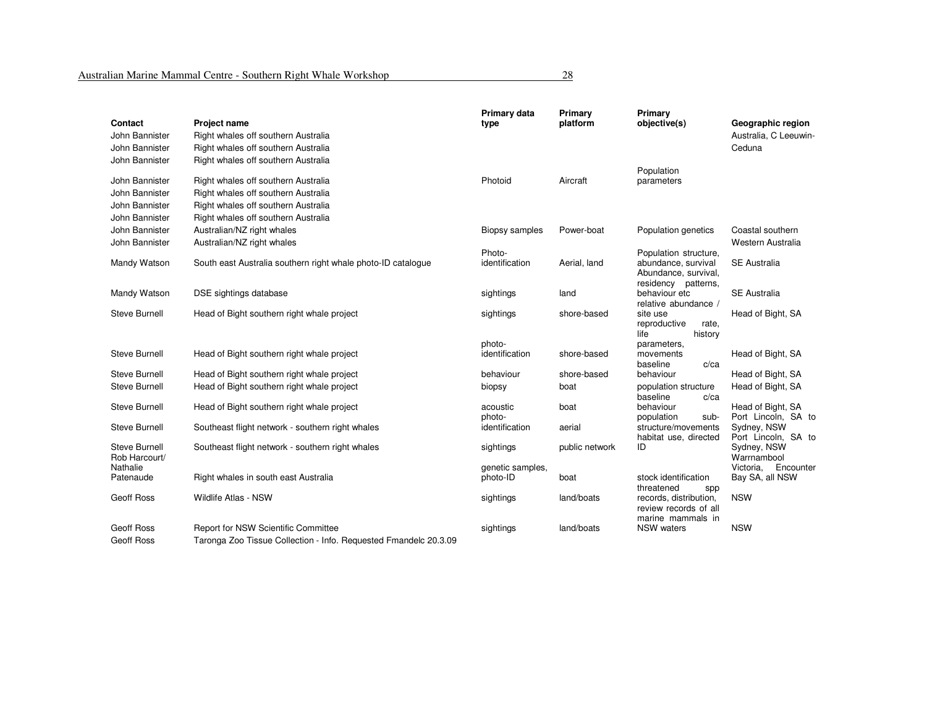| Contact                        | <b>Project name</b>                                              | Primary data<br>type  | Primary<br>platform | Primary<br>objective(s)                                              | Geographic region                                 |
|--------------------------------|------------------------------------------------------------------|-----------------------|---------------------|----------------------------------------------------------------------|---------------------------------------------------|
| John Bannister                 | Right whales off southern Australia                              |                       |                     |                                                                      | Australia, C Leeuwin-                             |
| John Bannister                 | Right whales off southern Australia                              |                       |                     |                                                                      | Ceduna                                            |
| John Bannister                 | Right whales off southern Australia                              |                       |                     |                                                                      |                                                   |
| John Bannister                 | Right whales off southern Australia                              | Photoid               | Aircraft            | Population<br>parameters                                             |                                                   |
| John Bannister                 | Right whales off southern Australia                              |                       |                     |                                                                      |                                                   |
| John Bannister                 | Right whales off southern Australia                              |                       |                     |                                                                      |                                                   |
| John Bannister                 | Right whales off southern Australia                              |                       |                     |                                                                      |                                                   |
| John Bannister                 | Australian/NZ right whales                                       | <b>Biopsy samples</b> | Power-boat          | Population genetics                                                  | Coastal southern                                  |
| John Bannister                 | Australian/NZ right whales                                       |                       |                     |                                                                      | Western Australia                                 |
|                                |                                                                  | Photo-                |                     | Population structure,                                                |                                                   |
| Mandy Watson                   | South east Australia southern right whale photo-ID catalogue     | identification        | Aerial, land        | abundance, survival<br>Abundance, survival,<br>residency patterns,   | <b>SE Australia</b>                               |
| Mandy Watson                   | DSE sightings database                                           | sightings             | land                | behaviour etc<br>relative abundance /                                | <b>SE Australia</b>                               |
| Steve Burnell                  | Head of Bight southern right whale project                       | sightings             | shore-based         | site use<br>reproductive<br>rate,<br>history<br>life                 | Head of Bight, SA                                 |
|                                |                                                                  | photo-                |                     | parameters,                                                          |                                                   |
| <b>Steve Burnell</b>           | Head of Bight southern right whale project                       | identification        | shore-based         | movements<br>baseline<br>$c$ /ca                                     | Head of Bight, SA                                 |
| Steve Burnell                  | Head of Bight southern right whale project                       | behaviour             | shore-based         | behaviour                                                            | Head of Bight, SA                                 |
| <b>Steve Burnell</b>           | Head of Bight southern right whale project                       | biopsy                | boat                | population structure<br>baseline<br>$c$ /ca                          | Head of Bight, SA                                 |
| <b>Steve Burnell</b>           | Head of Bight southern right whale project                       | acoustic              | boat                | behaviour                                                            | Head of Bight, SA                                 |
|                                |                                                                  | photo-                |                     | population<br>sub-                                                   | Port Lincoln, SA to                               |
| <b>Steve Burnell</b>           | Southeast flight network - southern right whales                 | identification        | aerial              | structure/movements                                                  | Sydney, NSW                                       |
| Steve Burnell<br>Rob Harcourt/ | Southeast flight network - southern right whales                 | sightings             | public network      | habitat use, directed<br>ID                                          | Port Lincoln, SA to<br>Sydney, NSW<br>Warrnambool |
| Nathalie                       |                                                                  | genetic samples,      |                     |                                                                      | Victoria, Encounter                               |
| Patenaude                      | Right whales in south east Australia                             | photo-ID              | boat                | stock identification                                                 | Bay SA, all NSW                                   |
| <b>Geoff Ross</b>              | Wildlife Atlas - NSW                                             | sightings             | land/boats          | threatened<br>spp<br>records, distribution,<br>review records of all | <b>NSW</b>                                        |
|                                |                                                                  |                       |                     | marine mammals in                                                    |                                                   |
| <b>Geoff Ross</b>              | Report for NSW Scientific Committee                              | sightings             | land/boats          | <b>NSW</b> waters                                                    | <b>NSW</b>                                        |
| <b>Geoff Ross</b>              | Taronga Zoo Tissue Collection - Info. Requested Fmandelc 20.3.09 |                       |                     |                                                                      |                                                   |